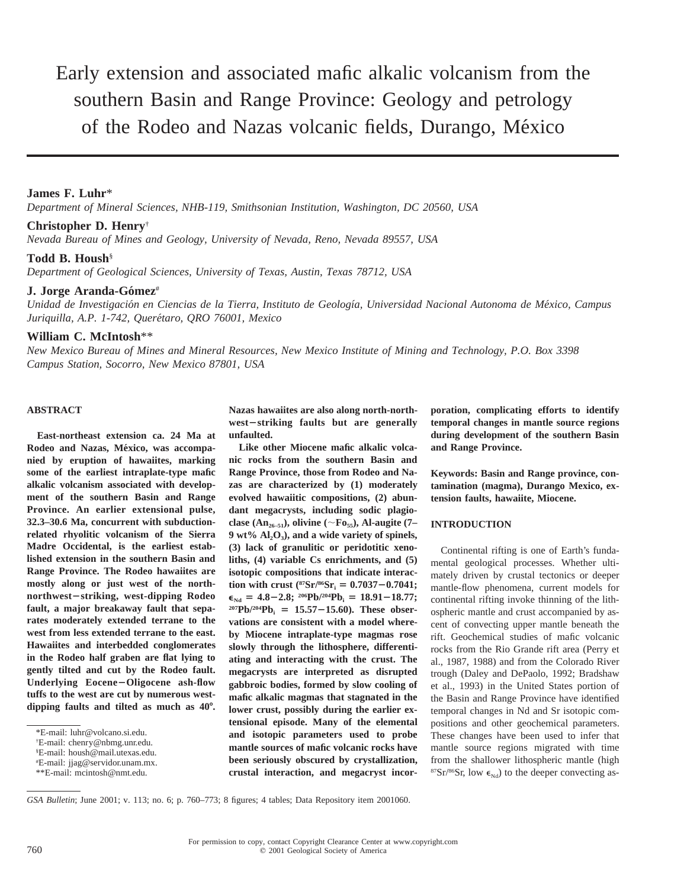# Early extension and associated mafic alkalic volcanism from the southern Basin and Range Province: Geology and petrology of the Rodeo and Nazas volcanic fields, Durango, México

# **James F. Luhr**\*

*Department of Mineral Sciences, NHB-119, Smithsonian Institution, Washington, DC 20560, USA*

# **Christopher D. Henry**†

*Nevada Bureau of Mines and Geology, University of Nevada, Reno, Nevada 89557, USA*

# **Todd B. Housh**§

*Department of Geological Sciences, University of Texas, Austin, Texas 78712, USA*

# **J. Jorge Aranda-Gómez**#

*Unidad de Investigacio´n en Ciencias de la Tierra, Instituto de Geologı´a, Universidad Nacional Autonoma de Me´xico, Campus Juriquilla, A.P. 1-742, Quere´taro, QRO 76001, Mexico*

# **William C. McIntosh**\*\*

*New Mexico Bureau of Mines and Mineral Resources, New Mexico Institute of Mining and Technology, P.O. Box 3398 Campus Station, Socorro, New Mexico 87801, USA*

## **ABSTRACT**

**East-northeast extension ca. 24 Ma at** Rodeo and Nazas, México, was accompa**nied by eruption of hawaiites, marking some of the earliest intraplate-type mafic alkalic volcanism associated with development of the southern Basin and Range Province. An earlier extensional pulse, 32.3–30.6 Ma, concurrent with subductionrelated rhyolitic volcanism of the Sierra Madre Occidental, is the earliest established extension in the southern Basin and Range Province. The Rodeo hawaiites are mostly along or just west of the northnorthwest-striking, west-dipping Rodeo fault, a major breakaway fault that separates moderately extended terrane to the west from less extended terrane to the east. Hawaiites and interbedded conglomerates in the Rodeo half graben are flat lying to gently tilted and cut by the Rodeo fault.** Underlying Eocene-Oligocene ash-flow **tuffs to the west are cut by numerous westdipping faults and tilted as much as 40**8**.**

**Nazas hawaiites are also along north-north**west-striking faults but are generally **unfaulted.**

**Like other Miocene mafic alkalic volcanic rocks from the southern Basin and Range Province, those from Rodeo and Nazas are characterized by (1) moderately evolved hawaiitic compositions, (2) abundant megacrysts, including sodic plagioclase** (An<sub>26–51</sub>), olivine ( $\sim$ Fo<sub>55</sub>), Al-augite (7– **9 wt% Al2O3), and a wide variety of spinels, (3) lack of granulitic or peridotitic xenoliths, (4) variable Cs enrichments, and (5) isotopic compositions that indicate interaction with crust** ( ${}^{87}Sr/{}^{86}Sr_1 = 0.7037 - 0.7041$ ;  $\epsilon_{\text{Nd}} = 4.8 - 2.8$ ; <sup>206</sup>Pb/<sup>204</sup>Pb<sub>i</sub> = 18.91-18.77;  $2^{07}Pb/2^{04}Pb_i = 15.57 - 15.60$ . These obser**vations are consistent with a model whereby Miocene intraplate-type magmas rose slowly through the lithosphere, differentiating and interacting with the crust. The megacrysts are interpreted as disrupted gabbroic bodies, formed by slow cooling of mafic alkalic magmas that stagnated in the lower crust, possibly during the earlier extensional episode. Many of the elemental and isotopic parameters used to probe mantle sources of mafic volcanic rocks have been seriously obscured by crystallization, crustal interaction, and megacryst incor-** **poration, complicating efforts to identify temporal changes in mantle source regions during development of the southern Basin and Range Province.**

**Keywords: Basin and Range province, contamination (magma), Durango Mexico, extension faults, hawaiite, Miocene.**

# **INTRODUCTION**

Continental rifting is one of Earth's fundamental geological processes. Whether ultimately driven by crustal tectonics or deeper mantle-flow phenomena, current models for continental rifting invoke thinning of the lithospheric mantle and crust accompanied by ascent of convecting upper mantle beneath the rift. Geochemical studies of mafic volcanic rocks from the Rio Grande rift area (Perry et al., 1987, 1988) and from the Colorado River trough (Daley and DePaolo, 1992; Bradshaw et al., 1993) in the United States portion of the Basin and Range Province have identified temporal changes in Nd and Sr isotopic compositions and other geochemical parameters. These changes have been used to infer that mantle source regions migrated with time from the shallower lithospheric mantle (high <sup>87</sup>Sr/<sup>86</sup>Sr, low  $\epsilon_{Nd}$ ) to the deeper convecting as-

*GSA Bulletin*; June 2001; v. 113; no. 6; p. 760–773; 8 figures; 4 tables; Data Repository item 2001060.

<sup>\*</sup>E-mail: luhr@volcano.si.edu.

<sup>†</sup> E-mail: chenry@nbmg.unr.edu.

<sup>§</sup> E-mail: housh@mail.utexas.edu.

<sup>#</sup> E-mail: jjag@servidor.unam.mx.

<sup>\*\*</sup>E-mail: mcintosh@nmt.edu.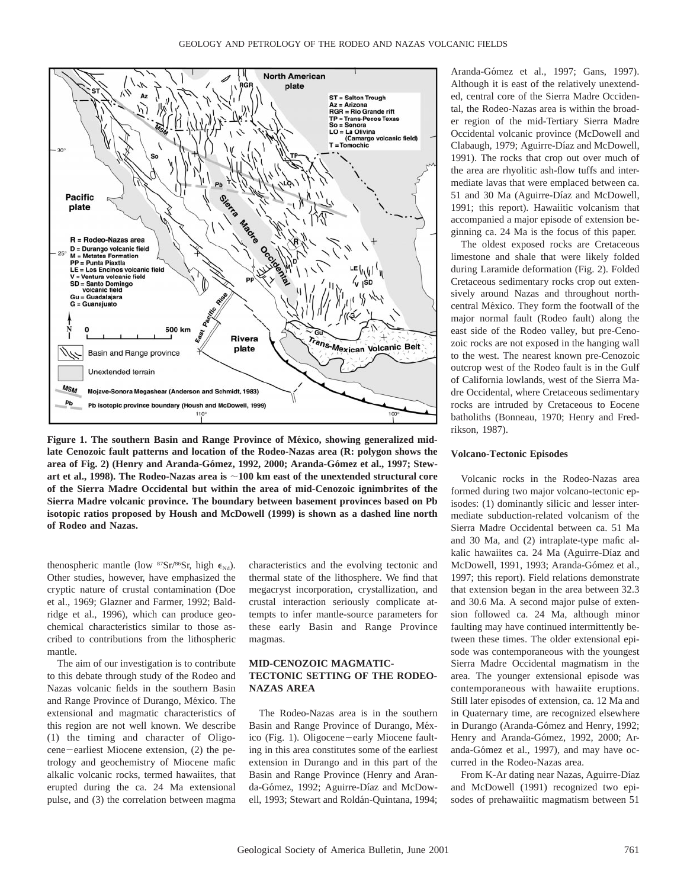

Figure 1. The southern Basin and Range Province of México, showing generalized mid**late Cenozoic fault patterns and location of the Rodeo-Nazas area (R: polygon shows the** area of Fig. 2) (Henry and Aranda-Gómez, 1992, 2000; Aranda-Gómez et al., 1997; Stewart et al., 1998). The Rodeo-Nazas area is  $\sim$ 100 km east of the unextended structural core **of the Sierra Madre Occidental but within the area of mid-Cenozoic ignimbrites of the Sierra Madre volcanic province. The boundary between basement provinces based on Pb isotopic ratios proposed by Housh and McDowell (1999) is shown as a dashed line north of Rodeo and Nazas.**

thenospheric mantle (low  ${}^{87}Sr/{}^{86}Sr$ , high  $\epsilon_{Nd}$ ). Other studies, however, have emphasized the cryptic nature of crustal contamination (Doe et al., 1969; Glazner and Farmer, 1992; Baldridge et al., 1996), which can produce geochemical characteristics similar to those ascribed to contributions from the lithospheric mantle.

The aim of our investigation is to contribute to this debate through study of the Rodeo and Nazas volcanic fields in the southern Basin and Range Province of Durango, México. The extensional and magmatic characteristics of this region are not well known. We describe (1) the timing and character of Oligocene-earliest Miocene extension, (2) the petrology and geochemistry of Miocene mafic alkalic volcanic rocks, termed hawaiites, that erupted during the ca. 24 Ma extensional pulse, and (3) the correlation between magma

characteristics and the evolving tectonic and thermal state of the lithosphere. We find that megacryst incorporation, crystallization, and crustal interaction seriously complicate attempts to infer mantle-source parameters for these early Basin and Range Province magmas.

# **MID-CENOZOIC MAGMATIC-TECTONIC SETTING OF THE RODEO-NAZAS AREA**

The Rodeo-Nazas area is in the southern Basin and Range Province of Durango, México (Fig. 1). Oligocene-early Miocene faulting in this area constitutes some of the earliest extension in Durango and in this part of the Basin and Range Province (Henry and Aranda-Gómez, 1992; Aguirre-Díaz and McDowell, 1993; Stewart and Roldán-Quintana, 1994; Aranda-Gómez et al., 1997; Gans, 1997). Although it is east of the relatively unextended, central core of the Sierra Madre Occidental, the Rodeo-Nazas area is within the broader region of the mid-Tertiary Sierra Madre Occidental volcanic province (McDowell and Clabaugh, 1979; Aguirre-Díaz and McDowell, 1991). The rocks that crop out over much of the area are rhyolitic ash-flow tuffs and intermediate lavas that were emplaced between ca. 51 and 30 Ma (Aguirre-Díaz and McDowell, 1991; this report). Hawaiitic volcanism that accompanied a major episode of extension beginning ca. 24 Ma is the focus of this paper.

The oldest exposed rocks are Cretaceous limestone and shale that were likely folded during Laramide deformation (Fig. 2). Folded Cretaceous sedimentary rocks crop out extensively around Nazas and throughout northcentral México. They form the footwall of the major normal fault (Rodeo fault) along the east side of the Rodeo valley, but pre-Cenozoic rocks are not exposed in the hanging wall to the west. The nearest known pre-Cenozoic outcrop west of the Rodeo fault is in the Gulf of California lowlands, west of the Sierra Madre Occidental, where Cretaceous sedimentary rocks are intruded by Cretaceous to Eocene batholiths (Bonneau, 1970; Henry and Fredrikson, 1987).

#### **Volcano-Tectonic Episodes**

Volcanic rocks in the Rodeo-Nazas area formed during two major volcano-tectonic episodes: (1) dominantly silicic and lesser intermediate subduction-related volcanism of the Sierra Madre Occidental between ca. 51 Ma and 30 Ma, and (2) intraplate-type mafic alkalic hawaiites ca. 24 Ma (Aguirre-Díaz and McDowell, 1991, 1993; Aranda-Gómez et al., 1997; this report). Field relations demonstrate that extension began in the area between 32.3 and 30.6 Ma. A second major pulse of extension followed ca. 24 Ma, although minor faulting may have continued intermittently between these times. The older extensional episode was contemporaneous with the youngest Sierra Madre Occidental magmatism in the area. The younger extensional episode was contemporaneous with hawaiite eruptions. Still later episodes of extension, ca. 12 Ma and in Quaternary time, are recognized elsewhere in Durango (Aranda-Gómez and Henry, 1992; Henry and Aranda-Gómez, 1992, 2000; Aranda-Gómez et al., 1997), and may have occurred in the Rodeo-Nazas area.

From K-Ar dating near Nazas, Aguirre-Díaz and McDowell (1991) recognized two episodes of prehawaiitic magmatism between 51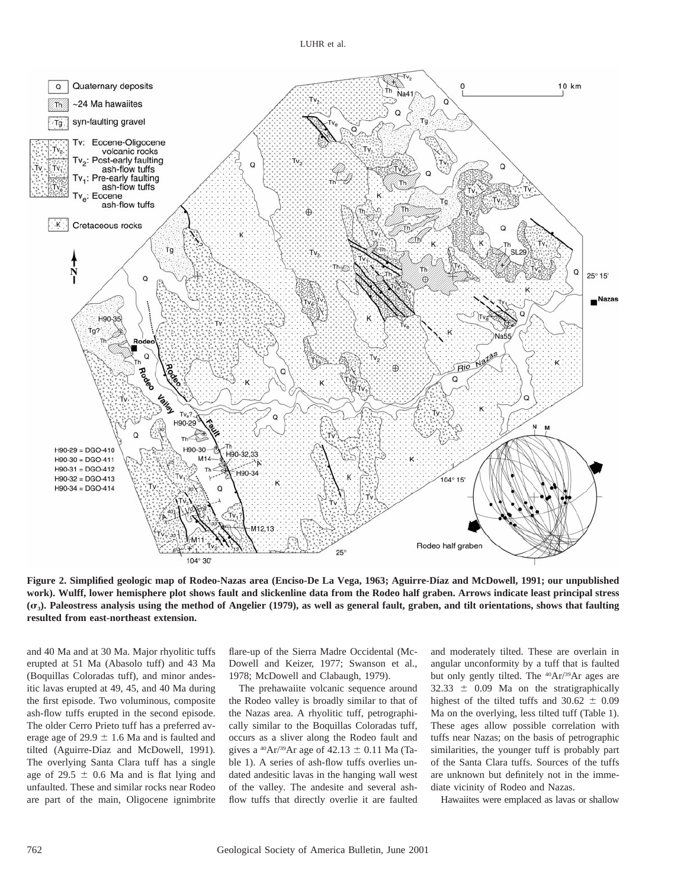

Figure 2. Simplified geologic map of Rodeo-Nazas area (Enciso-De La Vega, 1963; Aguirre-Díaz and McDowell, 1991; our unpublished **work). Wulff, lower hemisphere plot shows fault and slickenline data from the Rodeo half graben. Arrows indicate least principal stress (**s**3). Paleostress analysis using the method of Angelier (1979), as well as general fault, graben, and tilt orientations, shows that faulting resulted from east-northeast extension.**

and 40 Ma and at 30 Ma. Major rhyolitic tuffs erupted at 51 Ma (Abasolo tuff) and 43 Ma (Boquillas Coloradas tuff), and minor andesitic lavas erupted at 49, 45, and 40 Ma during the first episode. Two voluminous, composite ash-flow tuffs erupted in the second episode. The older Cerro Prieto tuff has a preferred average age of 29.9  $\pm$  1.6 Ma and is faulted and tilted (Aguirre-Díaz and McDowell, 1991). The overlying Santa Clara tuff has a single age of 29.5  $\pm$  0.6 Ma and is flat lying and unfaulted. These and similar rocks near Rodeo are part of the main, Oligocene ignimbrite

flare-up of the Sierra Madre Occidental (Mc-Dowell and Keizer, 1977; Swanson et al., 1978; McDowell and Clabaugh, 1979).

The prehawaiite volcanic sequence around the Rodeo valley is broadly similar to that of the Nazas area. A rhyolitic tuff, petrographically similar to the Boquillas Coloradas tuff, occurs as a sliver along the Rodeo fault and gives a <sup>40</sup>Ar/<sup>39</sup>Ar age of 42.13  $\pm$  0.11 Ma (Table 1). A series of ash-flow tuffs overlies undated andesitic lavas in the hanging wall west of the valley. The andesite and several ashflow tuffs that directly overlie it are faulted

and moderately tilted. These are overlain in angular unconformity by a tuff that is faulted but only gently tilted. The 40Ar/39Ar ages are  $32.33 \pm 0.09$  Ma on the stratigraphically highest of the tilted tuffs and  $30.62 \pm 0.09$ Ma on the overlying, less tilted tuff (Table 1). These ages allow possible correlation with tuffs near Nazas; on the basis of petrographic similarities, the younger tuff is probably part of the Santa Clara tuffs. Sources of the tuffs are unknown but definitely not in the immediate vicinity of Rodeo and Nazas.

Hawaiites were emplaced as lavas or shallow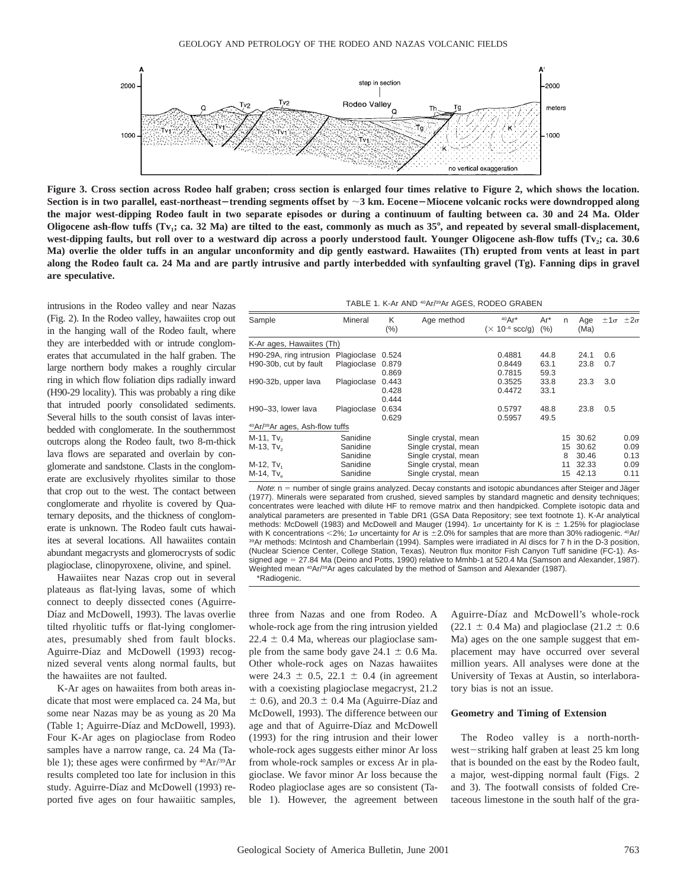

**Figure 3. Cross section across Rodeo half graben; cross section is enlarged four times relative to Figure 2, which shows the location.** Section is in two parallel, east-northeast-trending segments offset by  $\sim$ 3 km. Eocene–Miocene volcanic rocks were downdropped along **the major west-dipping Rodeo fault in two separate episodes or during a continuum of faulting between ca. 30 and 24 Ma. Older Oligocene ash-flow tuffs (Tv<sub>1</sub>; ca. 32 Ma) are tilted to the east, commonly as much as 35°, and repeated by several small-displacement,** west-dipping faults, but roll over to a westward dip across a poorly understood fault. Younger Oligocene ash-flow tuffs (Tv<sub>2</sub>; ca. 30.6 **Ma) overlie the older tuffs in an angular unconformity and dip gently eastward. Hawaiites (Th) erupted from vents at least in part along the Rodeo fault ca. 24 Ma and are partly intrusive and partly interbedded with synfaulting gravel (Tg). Fanning dips in gravel are speculative.**

intrusions in the Rodeo valley and near Nazas (Fig. 2). In the Rodeo valley, hawaiites crop out in the hanging wall of the Rodeo fault, where they are interbedded with or intrude conglomerates that accumulated in the half graben. The large northern body makes a roughly circular ring in which flow foliation dips radially inward (H90-29 locality). This was probably a ring dike that intruded poorly consolidated sediments. Several hills to the south consist of lavas interbedded with conglomerate. In the southernmost outcrops along the Rodeo fault, two 8-m-thick lava flows are separated and overlain by conglomerate and sandstone. Clasts in the conglomerate are exclusively rhyolites similar to those that crop out to the west. The contact between conglomerate and rhyolite is covered by Quaternary deposits, and the thickness of conglomerate is unknown. The Rodeo fault cuts hawaiites at several locations. All hawaiites contain abundant megacrysts and glomerocrysts of sodic plagioclase, clinopyroxene, olivine, and spinel.

Hawaiites near Nazas crop out in several plateaus as flat-lying lavas, some of which connect to deeply dissected cones (Aguirre-Díaz and McDowell, 1993). The lavas overlie tilted rhyolitic tuffs or flat-lying conglomerates, presumably shed from fault blocks. Aguirre-Díaz and McDowell (1993) recognized several vents along normal faults, but the hawaiites are not faulted.

K-Ar ages on hawaiites from both areas indicate that most were emplaced ca. 24 Ma, but some near Nazas may be as young as 20 Ma (Table 1; Aguirre-Díaz and McDowell, 1993). Four K-Ar ages on plagioclase from Rodeo samples have a narrow range, ca. 24 Ma (Table 1); these ages were confirmed by  $^{40}Ar/^{39}Ar$ results completed too late for inclusion in this study. Aguirre-Díaz and McDowell (1993) reported five ages on four hawaiitic samples,

TABLE 1. K-Ar AND 40Ar/39Ar AGES, RODEO GRABEN

| Sample                                                  | Mineral           | K<br>(% ) | Age method           | $40Ar*$<br>$(\times 10^{-6}$ scc/g) | $Ar^*$<br>(%) | n  | Age<br>(Ma) |     | $\pm 1\sigma$ $\pm 2\sigma$ |
|---------------------------------------------------------|-------------------|-----------|----------------------|-------------------------------------|---------------|----|-------------|-----|-----------------------------|
| K-Ar ages, Hawaiites (Th)                               |                   |           |                      |                                     |               |    |             |     |                             |
| H90-29A, ring intrusion                                 | Plagioclase 0.524 |           |                      | 0.4881                              | 44.8          |    | 24.1        | 0.6 |                             |
| H90-30b, cut by fault                                   | Plagioclase       | 0.879     |                      | 0.8449                              | 63.1          |    | 23.8        | 0.7 |                             |
|                                                         |                   | 0.869     |                      | 0.7815                              | 59.3          |    |             |     |                             |
| H90-32b, upper lava                                     | Plagioclase       | 0.443     |                      | 0.3525                              | 33.8          |    | 23.3        | 3.0 |                             |
|                                                         |                   | 0.428     |                      | 0.4472                              | 33.1          |    |             |     |                             |
|                                                         |                   | 0.444     |                      |                                     |               |    |             |     |                             |
| H90-33, lower lava                                      | Plagioclase       | 0.634     |                      | 0.5797                              | 48.8          |    | 23.8        | 0.5 |                             |
|                                                         |                   | 0.629     |                      | 0.5957                              | 49.5          |    |             |     |                             |
| <sup>40</sup> Ar/ <sup>39</sup> Ar ages, Ash-flow tuffs |                   |           |                      |                                     |               |    |             |     |                             |
| $M-11$ , Tv <sub>2</sub>                                | Sanidine          |           | Single crystal, mean |                                     |               | 15 | 30.62       |     | 0.09                        |
| $M-13$ , Tv <sub>2</sub>                                | Sanidine          |           | Single crystal, mean |                                     |               | 15 | 30.62       |     | 0.09                        |
|                                                         | Sanidine          |           | Single crystal, mean |                                     |               | 8  | 30.46       |     | 0.13                        |
| $M-12$ , Tv <sub>1</sub>                                | Sanidine          |           | Single crystal, mean |                                     |               | 11 | 32.33       |     | 0.09                        |
| $M-14$ , Tv <sub>o</sub>                                | Sanidine          |           | Single crystal, mean |                                     |               | 15 | 42.13       |     | 0.11                        |

Note: n = number of single grains analyzed. Decay constants and isotopic abundances after Steiger and Jäger (1977). Minerals were separated from crushed, sieved samples by standard magnetic and density techniques; concentrates were leached with dilute HF to remove matrix and then handpicked. Complete isotopic data and analytical parameters are presented in Table DR1 (GSA Data Repository; see text footnote 1). K-Ar analytical methods: McDowell (1983) and McDowell and Mauger (1994). 1s uncertainty for K is  $\pm$  1.25% for plagioclase with K concentrations <2%; 1o uncertainty for Ar is  $\pm 2.0$ % for samples that are more than 30% radiogenic. <sup>40</sup>Ar/ 39Ar methods: McIntosh and Chamberlain (1994). Samples were irradiated in Al discs for 7 h in the D-3 position, (Nuclear Science Center, College Station, Texas). Neutron flux monitor Fish Canyon Tuff sanidine (FC-1). Assigned age = 27.84 Ma (Deino and Potts, 1990) relative to Mmhb-1 at 520.4 Ma (Samson and Alexander, 1987). Weighted mean 40Ar/39Ar ages calculated by the method of Samson and Alexander (1987). \*Radiogenic.

three from Nazas and one from Rodeo. A whole-rock age from the ring intrusion yielded  $22.4 \pm 0.4$  Ma, whereas our plagioclase sample from the same body gave  $24.1 \pm 0.6$  Ma. Other whole-rock ages on Nazas hawaiites were 24.3  $\pm$  0.5, 22.1  $\pm$  0.4 (in agreement with a coexisting plagioclase megacryst, 21.2  $\pm$  0.6), and 20.3  $\pm$  0.4 Ma (Aguirre-Díaz and McDowell, 1993). The difference between our age and that of Aguirre-Díaz and McDowell (1993) for the ring intrusion and their lower whole-rock ages suggests either minor Ar loss from whole-rock samples or excess Ar in plagioclase. We favor minor Ar loss because the Rodeo plagioclase ages are so consistent (Table 1). However, the agreement between

Aguirre-Díaz and McDowell's whole-rock  $(22.1 \pm 0.4 \text{ Ma})$  and plagioclase  $(21.2 \pm 0.6 \text{ A})$ Ma) ages on the one sample suggest that emplacement may have occurred over several million years. All analyses were done at the University of Texas at Austin, so interlaboratory bias is not an issue.

#### **Geometry and Timing of Extension**

The Rodeo valley is a north-northwest-striking half graben at least 25 km long that is bounded on the east by the Rodeo fault, a major, west-dipping normal fault (Figs. 2 and 3). The footwall consists of folded Cretaceous limestone in the south half of the gra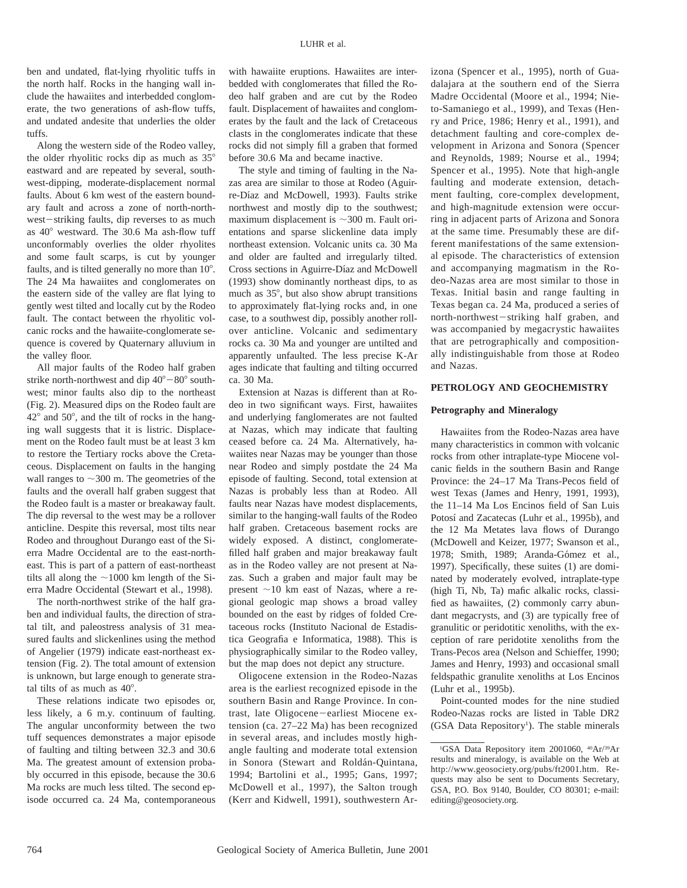ben and undated, flat-lying rhyolitic tuffs in the north half. Rocks in the hanging wall include the hawaiites and interbedded conglomerate, the two generations of ash-flow tuffs, and undated andesite that underlies the older tuffs.

Along the western side of the Rodeo valley, the older rhyolitic rocks dip as much as  $35^{\circ}$ eastward and are repeated by several, southwest-dipping, moderate-displacement normal faults. About 6 km west of the eastern boundary fault and across a zone of north-northwest-striking faults, dip reverses to as much as  $40^{\circ}$  westward. The 30.6 Ma ash-flow tuff unconformably overlies the older rhyolites and some fault scarps, is cut by younger faults, and is tilted generally no more than  $10^{\circ}$ . The 24 Ma hawaiites and conglomerates on the eastern side of the valley are flat lying to gently west tilted and locally cut by the Rodeo fault. The contact between the rhyolitic volcanic rocks and the hawaiite-conglomerate sequence is covered by Quaternary alluvium in the valley floor.

All major faults of the Rodeo half graben strike north-northwest and dip  $40^{\circ}-80^{\circ}$  southwest; minor faults also dip to the northeast (Fig. 2). Measured dips on the Rodeo fault are  $42^{\circ}$  and  $50^{\circ}$ , and the tilt of rocks in the hanging wall suggests that it is listric. Displacement on the Rodeo fault must be at least 3 km to restore the Tertiary rocks above the Cretaceous. Displacement on faults in the hanging wall ranges to  $\sim$ 300 m. The geometries of the faults and the overall half graben suggest that the Rodeo fault is a master or breakaway fault. The dip reversal to the west may be a rollover anticline. Despite this reversal, most tilts near Rodeo and throughout Durango east of the Sierra Madre Occidental are to the east-northeast. This is part of a pattern of east-northeast tilts all along the  $\sim$ 1000 km length of the Sierra Madre Occidental (Stewart et al., 1998).

The north-northwest strike of the half graben and individual faults, the direction of stratal tilt, and paleostress analysis of 31 measured faults and slickenlines using the method of Angelier (1979) indicate east-northeast extension (Fig. 2). The total amount of extension is unknown, but large enough to generate stratal tilts of as much as  $40^\circ$ .

These relations indicate two episodes or, less likely, a 6 m.y. continuum of faulting. The angular unconformity between the two tuff sequences demonstrates a major episode of faulting and tilting between 32.3 and 30.6 Ma. The greatest amount of extension probably occurred in this episode, because the 30.6 Ma rocks are much less tilted. The second episode occurred ca. 24 Ma, contemporaneous

with hawaiite eruptions. Hawaiites are interbedded with conglomerates that filled the Rodeo half graben and are cut by the Rodeo fault. Displacement of hawaiites and conglomerates by the fault and the lack of Cretaceous clasts in the conglomerates indicate that these rocks did not simply fill a graben that formed before 30.6 Ma and became inactive.

The style and timing of faulting in the Nazas area are similar to those at Rodeo (Aguirre-Díaz and McDowell, 1993). Faults strike northwest and mostly dip to the southwest; maximum displacement is  $\sim$ 300 m. Fault orientations and sparse slickenline data imply northeast extension. Volcanic units ca. 30 Ma and older are faulted and irregularly tilted. Cross sections in Aguirre-Díaz and McDowell (1993) show dominantly northeast dips, to as much as  $35^\circ$ , but also show abrupt transitions to approximately flat-lying rocks and, in one case, to a southwest dip, possibly another rollover anticline. Volcanic and sedimentary rocks ca. 30 Ma and younger are untilted and apparently unfaulted. The less precise K-Ar ages indicate that faulting and tilting occurred ca. 30 Ma.

Extension at Nazas is different than at Rodeo in two significant ways. First, hawaiites and underlying fanglomerates are not faulted at Nazas, which may indicate that faulting ceased before ca. 24 Ma. Alternatively, hawaiites near Nazas may be younger than those near Rodeo and simply postdate the 24 Ma episode of faulting. Second, total extension at Nazas is probably less than at Rodeo. All faults near Nazas have modest displacements, similar to the hanging-wall faults of the Rodeo half graben. Cretaceous basement rocks are widely exposed. A distinct, conglomeratefilled half graben and major breakaway fault as in the Rodeo valley are not present at Nazas. Such a graben and major fault may be present  $\sim$ 10 km east of Nazas, where a regional geologic map shows a broad valley bounded on the east by ridges of folded Cretaceous rocks (Instituto Nacional de Estadistica Geografia e Informatica, 1988). This is physiographically similar to the Rodeo valley, but the map does not depict any structure.

Oligocene extension in the Rodeo-Nazas area is the earliest recognized episode in the southern Basin and Range Province. In contrast, late Oligocene-earliest Miocene extension (ca. 27–22 Ma) has been recognized in several areas, and includes mostly highangle faulting and moderate total extension in Sonora (Stewart and Roldán-Quintana, 1994; Bartolini et al., 1995; Gans, 1997; McDowell et al., 1997), the Salton trough (Kerr and Kidwell, 1991), southwestern Arizona (Spencer et al., 1995), north of Guadalajara at the southern end of the Sierra Madre Occidental (Moore et al., 1994; Nieto-Samaniego et al., 1999), and Texas (Henry and Price, 1986; Henry et al., 1991), and detachment faulting and core-complex development in Arizona and Sonora (Spencer and Reynolds, 1989; Nourse et al., 1994; Spencer et al., 1995). Note that high-angle faulting and moderate extension, detachment faulting, core-complex development, and high-magnitude extension were occurring in adjacent parts of Arizona and Sonora at the same time. Presumably these are different manifestations of the same extensional episode. The characteristics of extension and accompanying magmatism in the Rodeo-Nazas area are most similar to those in Texas. Initial basin and range faulting in Texas began ca. 24 Ma, produced a series of north-northwest-striking half graben, and was accompanied by megacrystic hawaiites that are petrographically and compositionally indistinguishable from those at Rodeo and Nazas.

## **PETROLOGY AND GEOCHEMISTRY**

#### **Petrography and Mineralogy**

Hawaiites from the Rodeo-Nazas area have many characteristics in common with volcanic rocks from other intraplate-type Miocene volcanic fields in the southern Basin and Range Province: the 24–17 Ma Trans-Pecos field of west Texas (James and Henry, 1991, 1993), the 11–14 Ma Los Encinos field of San Luis Potosí and Zacatecas (Luhr et al., 1995b), and the 12 Ma Metates lava flows of Durango (McDowell and Keizer, 1977; Swanson et al., 1978; Smith, 1989; Aranda-Gómez et al., 1997). Specifically, these suites (1) are dominated by moderately evolved, intraplate-type (high Ti, Nb, Ta) mafic alkalic rocks, classified as hawaiites, (2) commonly carry abundant megacrysts, and (3) are typically free of granulitic or peridotitic xenoliths, with the exception of rare peridotite xenoliths from the Trans-Pecos area (Nelson and Schieffer, 1990; James and Henry, 1993) and occasional small feldspathic granulite xenoliths at Los Encinos (Luhr et al., 1995b).

Point-counted modes for the nine studied Rodeo-Nazas rocks are listed in Table DR2 (GSA Data Repository<sup>1</sup>). The stable minerals

<sup>&</sup>lt;sup>1</sup>GSA Data Repository item 2001060, <sup>40</sup>Ar/<sup>39</sup>Ar results and mineralogy, is available on the Web at http://www.geosociety.org/pubs/ft2001.htm. Requests may also be sent to Documents Secretary, GSA, P.O. Box 9140, Boulder, CO 80301; e-mail: editing@geosociety.org.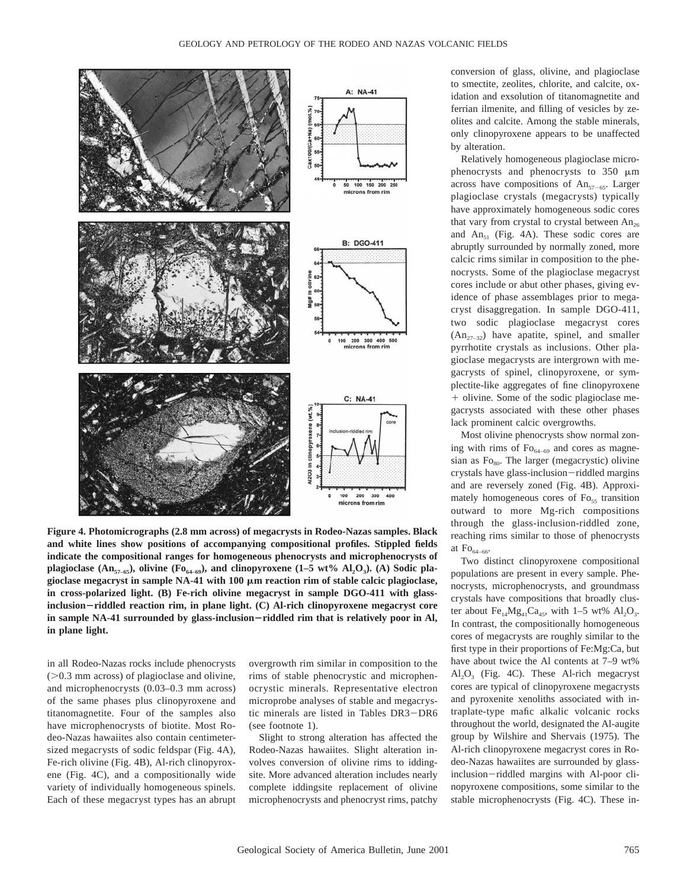

**Figure 4. Photomicrographs (2.8 mm across) of megacrysts in Rodeo-Nazas samples. Black and white lines show positions of accompanying compositional profiles. Stippled fields indicate the compositional ranges for homogeneous phenocrysts and microphenocrysts of plagioclase** ( $\text{An}_{57-65}$ ), olivine ( $\text{Fo}_{64-69}$ ), and clinopyroxene (1–5 wt%  $\text{Al}_2\text{O}_3$ ). (A) Sodic plagioclase megacryst in sample NA-41 with 100  $\mu$ m reaction rim of stable calcic plagioclase, **in cross-polarized light. (B) Fe-rich olivine megacryst in sample DGO-411 with glassinclusion**2**riddled reaction rim, in plane light. (C) Al-rich clinopyroxene megacryst core** in sample NA-41 surrounded by glass-inclusion-riddled rim that is relatively poor in Al, **in plane light.**

in all Rodeo-Nazas rocks include phenocrysts  $($ >0.3 mm across) of plagioclase and olivine, and microphenocrysts (0.03–0.3 mm across) of the same phases plus clinopyroxene and titanomagnetite. Four of the samples also have microphenocrysts of biotite. Most Rodeo-Nazas hawaiites also contain centimetersized megacrysts of sodic feldspar (Fig. 4A), Fe-rich olivine (Fig. 4B), Al-rich clinopyroxene (Fig. 4C), and a compositionally wide variety of individually homogeneous spinels. Each of these megacryst types has an abrupt

overgrowth rim similar in composition to the rims of stable phenocrystic and microphenocrystic minerals. Representative electron microprobe analyses of stable and megacrystic minerals are listed in Tables DR3-DR6 (see footnote 1).

Slight to strong alteration has affected the Rodeo-Nazas hawaiites. Slight alteration involves conversion of olivine rims to iddingsite. More advanced alteration includes nearly complete iddingsite replacement of olivine microphenocrysts and phenocryst rims, patchy

conversion of glass, olivine, and plagioclase to smectite, zeolites, chlorite, and calcite, oxidation and exsolution of titanomagnetite and ferrian ilmenite, and filling of vesicles by zeolites and calcite. Among the stable minerals, only clinopyroxene appears to be unaffected by alteration.

Relatively homogeneous plagioclase microphenocrysts and phenocrysts to  $350 \mu m$ across have compositions of  $An_{57-65}$ . Larger plagioclase crystals (megacrysts) typically have approximately homogeneous sodic cores that vary from crystal to crystal between  $An_{26}$ and  $An_{51}$  (Fig. 4A). These sodic cores are abruptly surrounded by normally zoned, more calcic rims similar in composition to the phenocrysts. Some of the plagioclase megacryst cores include or abut other phases, giving evidence of phase assemblages prior to megacryst disaggregation. In sample DGO-411, two sodic plagioclase megacryst cores  $(An_{27-32})$  have apatite, spinel, and smaller pyrrhotite crystals as inclusions. Other plagioclase megacrysts are intergrown with megacrysts of spinel, clinopyroxene, or symplectite-like aggregates of fine clinopyroxene + olivine. Some of the sodic plagioclase megacrysts associated with these other phases lack prominent calcic overgrowths.

Most olivine phenocrysts show normal zoning with rims of  $\text{Fo}_{64-69}$  and cores as magnesian as  $Fo<sub>80</sub>$ . The larger (megacrystic) olivine crystals have glass-inclusion-riddled margins and are reversely zoned (Fig. 4B). Approximately homogeneous cores of Fo<sub>55</sub> transition outward to more Mg-rich compositions through the glass-inclusion-riddled zone, reaching rims similar to those of phenocrysts at  $\mathrm{Fo}_{64-66}$ .

Two distinct clinopyroxene compositional populations are present in every sample. Phenocrysts, microphenocrysts, and groundmass crystals have compositions that broadly cluster about  $Fe_{14}Mg_{41}Ca_{45}$ , with 1–5 wt%  $Al_2O_3$ . In contrast, the compositionally homogeneous cores of megacrysts are roughly similar to the first type in their proportions of Fe:Mg:Ca, but have about twice the Al contents at 7–9 wt%  $Al_2O_3$  (Fig. 4C). These Al-rich megacryst cores are typical of clinopyroxene megacrysts and pyroxenite xenoliths associated with intraplate-type mafic alkalic volcanic rocks throughout the world, designated the Al-augite group by Wilshire and Shervais (1975). The Al-rich clinopyroxene megacryst cores in Rodeo-Nazas hawaiites are surrounded by glassinclusion-riddled margins with Al-poor clinopyroxene compositions, some similar to the stable microphenocrysts (Fig. 4C). These in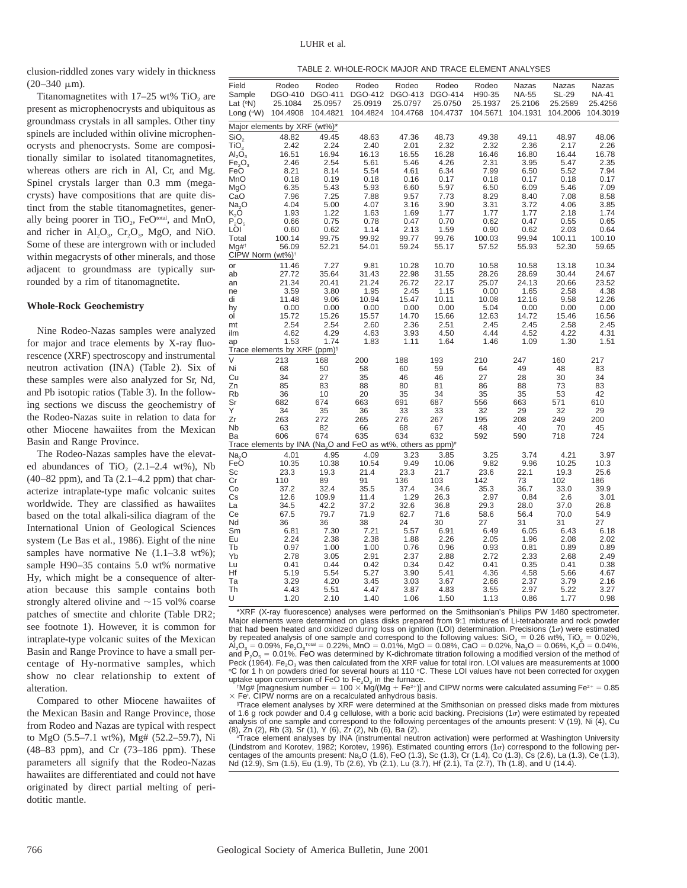clusion-riddled zones vary widely in thickness  $(20-340 \mu m)$ .

Titanomagnetites with  $17-25$  wt% TiO<sub>2</sub> are present as microphenocrysts and ubiquitous as groundmass crystals in all samples. Other tiny spinels are included within olivine microphenocrysts and phenocrysts. Some are compositionally similar to isolated titanomagnetites, whereas others are rich in Al, Cr, and Mg. Spinel crystals larger than 0.3 mm (megacrysts) have compositions that are quite distinct from the stable titanomagnetites, generally being poorer in TiO<sub>2</sub>, FeO<sup>total</sup>, and MnO, and richer in  $Al_2O_3$ ,  $Cr_2O_3$ , MgO, and NiO. Some of these are intergrown with or included within megacrysts of other minerals, and those adjacent to groundmass are typically surrounded by a rim of titanomagnetite.

## **Whole-Rock Geochemistry**

Nine Rodeo-Nazas samples were analyzed for major and trace elements by X-ray fluorescence (XRF) spectroscopy and instrumental neutron activation (INA) (Table 2). Six of these samples were also analyzed for Sr, Nd, and Pb isotopic ratios (Table 3). In the following sections we discuss the geochemistry of the Rodeo-Nazas suite in relation to data for other Miocene hawaiites from the Mexican Basin and Range Province.

The Rodeo-Nazas samples have the elevated abundances of TiO<sub>2</sub>  $(2.1–2.4 \text{ wt\%}),$  Nb  $(40-82$  ppm), and Ta  $(2.1-4.2$  ppm) that characterize intraplate-type mafic volcanic suites worldwide. They are classified as hawaiites based on the total alkali-silica diagram of the International Union of Geological Sciences system (Le Bas et al., 1986). Eight of the nine samples have normative Ne  $(1.1-3.8 \text{ wt\%});$ sample H90–35 contains 5.0 wt% normative Hy, which might be a consequence of alteration because this sample contains both strongly altered olivine and  $\sim$ 15 vol% coarse patches of smectite and chlorite (Table DR2; see footnote 1). However, it is common for intraplate-type volcanic suites of the Mexican Basin and Range Province to have a small percentage of Hy-normative samples, which show no clear relationship to extent of alteration.

Compared to other Miocene hawaiites of the Mexican Basin and Range Province, those from Rodeo and Nazas are typical with respect to MgO (5.5–7.1 wt%), Mg# (52.2–59.7), Ni (48–83 ppm), and Cr (73–186 ppm). These parameters all signify that the Rodeo-Nazas hawaiites are differentiated and could not have originated by direct partial melting of peridotitic mantle.

| TABLE 2. WHOLE-ROCK MAJOR AND TRACE ELEMENT ANALYSES |  |
|------------------------------------------------------|--|
|------------------------------------------------------|--|

| Field<br>Sample<br>Lat ( <sup>o</sup> N) | Rodeo<br>25.1084                                                                     | Rodeo<br>DGO-410 DGO-411 DGO-412 DGO-413 DGO-414<br>25.0957 | Rodeo<br>25.0919 | Rodeo<br>25.0797 | Rodeo<br>25.0750 | Rodeo<br>H90-35<br>25.1937 | Nazas<br><b>NA-55</b><br>25.2106 | Nazas<br><b>SL-29</b><br>25.2589 | Nazas<br><b>NA-41</b><br>25.4256 |
|------------------------------------------|--------------------------------------------------------------------------------------|-------------------------------------------------------------|------------------|------------------|------------------|----------------------------|----------------------------------|----------------------------------|----------------------------------|
| Long (°W)                                | 104.4908                                                                             | 104.4821                                                    | 104.4824         | 104.4768         | 104.4737         | 104.5671                   | 104.1931                         | 104.2006                         | 104.3019                         |
|                                          | Major elements by XRF (wt%)*                                                         |                                                             |                  |                  |                  |                            |                                  |                                  |                                  |
| $\overline{\text{SiO}}_2$                | 48.82                                                                                | 49.45                                                       | 48.63            | 47.36            | 48.73            | 49.38                      | 49.11                            | 48.97                            | 48.06                            |
| TiO,                                     | 2.42                                                                                 | 2.24                                                        | 2.40             | 2.01             | 2.32             | 2.32                       | 2.36                             | 2.17                             | 2.26                             |
| $\mathsf{Al}_2\mathsf{O}_3$              | 16.51                                                                                | 16.94                                                       | 16.13            | 16.55            | 16.28            | 16.46                      | 16.80                            | 16.44                            | 16.78                            |
| $F\tilde{e_2O_3}$<br>FeŌ                 | 2.46<br>8.21                                                                         | 2.54<br>8.14                                                | 5.61<br>5.54     | 5.46<br>4.61     | 4.26<br>6.34     | 2.31<br>7.99               | 3.95<br>6.50                     | 5.47<br>5.52                     | 2.35<br>7.94                     |
| MnO                                      | 0.18                                                                                 | 0.19                                                        | 0.18             | 0.16             | 0.17             | 0.18                       | 0.17                             | 0.18                             | 0.17                             |
| MgO                                      | 6.35                                                                                 | 5.43                                                        | 5.93             | 6.60             | 5.97             | 6.50                       | 6.09                             | 5.46                             | 7.09                             |
| CaO                                      | 7.96                                                                                 | 7.25                                                        | 7.88             | 9.57             | 7.73             | 8.29                       | 8.40                             | 7.08                             | 8.58                             |
| Na,O                                     | 4.04                                                                                 | 5.00                                                        | 4.07             | 3.16             | 3.90             | 3.31                       | 3.72                             | 4.06                             | 3.85                             |
| $\mathsf{K}_2\mathsf{O}$                 | 1.93                                                                                 | 1.22                                                        | 1.63             | 1.69             | 1.77             | 1.77                       | 1.77                             | 2.18                             | 1.74                             |
| $\overline{P_2O_5}$                      | 0.66<br>0.60                                                                         | 0.75<br>0.62                                                | 0.78<br>1.14     | 0.47<br>2.13     | 0.70<br>1.59     | 0.62<br>0.90               | 0.47<br>0.62                     | 0.55<br>2.03                     | 0.65<br>0.64                     |
| LÕI<br>Total                             | 100.14                                                                               | 99.75                                                       | 99.92            | 99.77            | 99.76            | 100.03                     | 99.94                            | 100.11                           | 100.10                           |
| Mg#t                                     | 56.09                                                                                | 52.21                                                       | 54.01            | 59.24            | 55.17            | 57.52                      | 55.93                            | 52.30                            | 59.65                            |
| CIPW Norm (wt%) <sup>+</sup>             |                                                                                      |                                                             |                  |                  |                  |                            |                                  |                                  |                                  |
| or                                       | 11.46                                                                                | 7.27                                                        | 9.81             | 10.28            | 10.70            | 10.58                      | 10.58                            | 13.18                            | 10.34                            |
| ab                                       | 27.72                                                                                | 35.64                                                       | 31.43            | 22.98            | 31.55            | 28.26                      | 28.69                            | 30.44                            | 24.67                            |
| an                                       | 21.34<br>3.59                                                                        | 20.41<br>3.80                                               | 21.24<br>1.95    | 26.72<br>2.45    | 22.17            | 25.07<br>0.00              | 24.13<br>1.65                    | 20.66<br>2.58                    | 23.52<br>4.38                    |
| ne<br>di                                 | 11.48                                                                                | 9.06                                                        | 10.94            | 15.47            | 1.15<br>10.11    | 10.08                      | 12.16                            | 9.58                             | 12.26                            |
| hy                                       | 0.00                                                                                 | 0.00                                                        | 0.00             | 0.00             | 0.00             | 5.04                       | 0.00                             | 0.00                             | 0.00                             |
| ol                                       | 15.72                                                                                | 15.26                                                       | 15.57            | 14.70            | 15.66            | 12.63                      | 14.72                            | 15.46                            | 16.56                            |
| mt                                       | 2.54                                                                                 | 2.54                                                        | 2.60             | 2.36             | 2.51             | 2.45                       | 2.45                             | 2.58                             | 2.45                             |
| ilm                                      | 4.62                                                                                 | 4.29                                                        | 4.63             | 3.93             | 4.50             | 4.44                       | 4.52                             | 4.22                             | 4.31                             |
| ap                                       | 1.53<br>Trace elements by XRF (ppm) <sup>§</sup>                                     | 1.74                                                        | 1.83             | 1.11             | 1.64             | 1.46                       | 1.09                             | 1.30                             | 1.51                             |
| V                                        | 213                                                                                  | 168                                                         | 200              | 188              | 193              | 210                        | 247                              | 160                              | 217                              |
| Ni                                       | 68                                                                                   | 50                                                          | 58               | 60               | 59               | 64                         | 49                               | 48                               | 83                               |
| Cu                                       | 34                                                                                   | 27                                                          | 35               | 46               | 46               | 27                         | 28                               | 30                               | 34                               |
| Zn                                       | 85                                                                                   | 83                                                          | 88               | 80               | 81               | 86                         | 88                               | 73                               | 83                               |
| Rb                                       | 36                                                                                   | 10                                                          | 20               | 35               | 34               | 35                         | 35                               | 53                               | 42                               |
| Sr<br>Y                                  | 682<br>34                                                                            | 674                                                         | 663<br>36        | 691<br>33        | 687              | 556                        | 663                              | 571<br>32                        | 610                              |
| Zr                                       | 263                                                                                  | 35<br>272                                                   | 265              | 276              | 33<br>267        | 32<br>195                  | 29<br>208                        | 249                              | 29<br>200                        |
| Nb                                       | 63                                                                                   | 82                                                          | 66               | 68               | 67               | 48                         | 40                               | 70                               | 45                               |
| Вa                                       | 606                                                                                  | 674                                                         | 635              | 634              | 632              | 592                        | 590                              | 718                              | 724                              |
|                                          | Trace elements by INA (Na <sub>2</sub> O and FeO as wt%, others as ppm) <sup>#</sup> |                                                             |                  |                  |                  |                            |                                  |                                  |                                  |
| Na <sub>2</sub> O                        | 4.01                                                                                 | 4.95                                                        | 4.09             | 3.23             | 3.85             | 3.25                       | 3.74                             | 4.21                             | 3.97                             |
| FeO                                      | 10.35                                                                                | 10.38                                                       | 10.54            | 9.49             | 10.06            | 9.82                       | 9.96                             | 10.25                            | 10.3                             |
| Sc<br>Сr                                 | 23.3<br>110                                                                          | 19.3<br>89                                                  | 21.4<br>91       | 23.3<br>136      | 21.7<br>103      | 23.6<br>142                | 22.1<br>73                       | 19.3<br>102                      | 25.6<br>186                      |
| Co                                       | 37.2                                                                                 | 32.4                                                        | 35.5             | 37.4             | 34.6             | 35.3                       | 36.7                             | 33.0                             | 39.9                             |
| Сs                                       | 12.6                                                                                 | 109.9                                                       | 11.4             | 1.29             | 26.3             | 2.97                       | 0.84                             | 2.6                              | 3.01                             |
| La                                       | 34.5                                                                                 | 42.2                                                        | 37.2             | 32.6             | 36.8             | 29.3                       | 28.0                             | 37.0                             | 26.8                             |
| Сe                                       | 67.5                                                                                 | 79.7                                                        | 71.9             | 62.7             | 71.6             | 58.6                       | 56.4                             | 70.0                             | 54.9                             |
| Nd                                       | 36                                                                                   | 36                                                          | 38               | 24               | 30               | 27                         | 31                               | 31                               | 27                               |
| Sm<br>Eu                                 | 6.81<br>2.24                                                                         | 7.30<br>2.38                                                | 7.21<br>2.38     | 5.57<br>1.88     | 6.91             | 6.49<br>2.05               | 6.05<br>1.96                     | 6.43<br>2.08                     | 6.18<br>2.02                     |
| Tb                                       | 0.97                                                                                 | 1.00                                                        | 1.00             | 0.76             | 2.26<br>0.96     | 0.93                       | 0.81                             | 0.89                             | 0.89                             |
| Yb                                       | 2.78                                                                                 | 3.05                                                        | 2.91             | 2.37             | 2.88             | 2.72                       | 2.33                             | 2.68                             | 2.49                             |
| Lu                                       | 0.41                                                                                 | 0.44                                                        | 0.42             | 0.34             | 0.42             | 0.41                       | 0.35                             | 0.41                             | 0.38                             |
| Ηf                                       | 5.19                                                                                 | 5.54                                                        | 5.27             | 3.90             | 5.41             | 4.36                       | 4.58                             | 5.66                             | 4.67                             |
| Тa<br>Th                                 | 3.29<br>4.43                                                                         | 4.20<br>5.51                                                | 3.45<br>4.47     | 3.03<br>3.87     | 3.67<br>4.83     | 2.66<br>3.55               | 2.37<br>2.97                     | 3.79<br>5.22                     | 2.16<br>3.27                     |
| U                                        | 1.20                                                                                 | 2.10                                                        | 1.40             | 1.06             | 1.50             | 1.13                       | 0.86                             | 1.77                             | 0.98                             |
|                                          |                                                                                      |                                                             |                  |                  |                  |                            |                                  |                                  |                                  |

\*XRF (X-ray fluorescence) analyses were performed on the Smithsonian's Philips PW 1480 spectrometer. Major elements were determined on glass disks prepared from 9:1 mixtures of Li-tetraborate and rock powder that had been heated and oxidized during loss on ignition (LOI) determination. Precisions (1 $\sigma$ ) were estimated by repeated analysis of one sample and correspond to the following values:  $SO_2 = 0.26$  wt%,  $TO_2 = 0.02\%$ ,  $A_{\text{LO}} = 0.02\%$ ,  $A_{\text{LO}} = 0.02\%$ ,  $A_{\text{LO}} = 0.02\%$ ,  $A_{\text{LO}} = 0.02\%$ ,  $A_{\text{LO}} = 0.02\%$ ,  $A_{\text{LO}} = 0.02\%$ ,  $\mathsf{Al}_2\mathsf{O}_3 = 0.09\%$ ,  $\mathsf{Fe}_2\mathsf{O}_3^{\pi_\mathsf{O} \mathsf{I} \mathsf{I} \mathsf{I}} = 0.22\%$ ,  $\mathsf{MnO} = 0.01\%$ ,  $\mathsf{MgO} = 0.08\%$ , CaO  $= 0.02\%$ ,  $\mathsf{Na}_2\mathsf{O} = 0.06\%$ , K<sub>2</sub>O  $= 0.04\%$ , and P<sub>2</sub>O<sub>5</sub> = 0.01%. FeO was determined by K-dichromate titration following a modified version of the method of Peck  $(1964)$ . Fe<sub>2</sub>O<sub>3</sub> was then calculated from the XRF value for total iron. LOI values are measurements at 1000 °C for 1 h on powders dried for several hours at 110 °C. These LOI values have not been corrected for oxygen uptake upon conversion of FeO to  $Fe<sub>2</sub>O<sub>3</sub>$  in the furnace.

 $Mgg#$  [magnesium number = 100  $\times$  Mg/(Mg + Fe<sup>2+</sup>)] and CIPW norms were calculated assuming Fe<sup>2+</sup> = 0.85  $\times$  Fe<sup>t</sup>. CIPW norms are on a recalculated anhydrous basis.

§ Trace element analyses by XRF were determined at the Smithsonian on pressed disks made from mixtures of 1.6 g rock powder and 0.4 g cellulose, with a boric acid backing. Precisions (1 $\sigma$ ) were estimated by repeated analysis of one sample and correspond to the following percentages of the amounts present: V (19), Ni (4), Cu (8), Zn (2), Rb (3), Sr (1), Y (6), Zr (2), Nb (6), Ba (2).

# Trace element analyses by INA (instrumental neutron activation) were performed at Washington University (Lindstrom and Korotev, 1982; Korotev, 1996). Estimated counting errors (1σ) correspond to the following per-<br>centages of the amounts present: Na<sub>2</sub>O (1.6), FeO (1.3), Sc (1.3), Cr (1.4), Co (1.3), Cs (2.6), La (1.3), Ce Nd (12.9), Sm (1.5), Eu (1.9), Tb (2.6), Yb (2.1), Lu (3.7), Hf (2.1), Ta (2.7), Th (1.8), and U (14.4).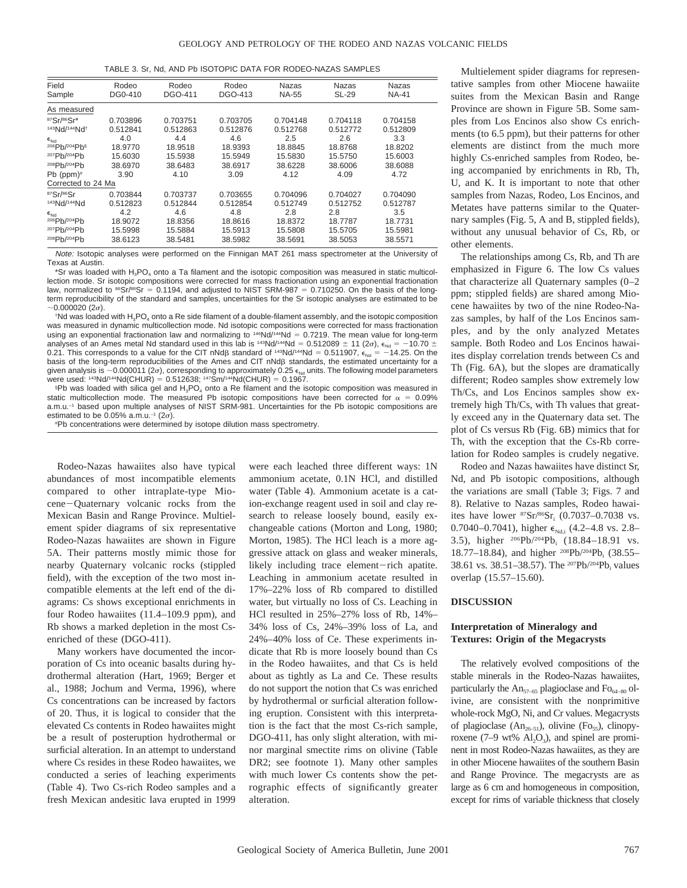|  |  |  | TABLE 3. Sr. Nd. AND Pb ISOTOPIC DATA FOR RODEO-NAZAS SAMPLES |
|--|--|--|---------------------------------------------------------------|
|--|--|--|---------------------------------------------------------------|

| Field<br>Sample          | Rodeo<br>DG0-410 | Rodeo<br>DGO-411 | Rodeo<br>DGO-413 | Nazas<br><b>NA-55</b> | <b>Nazas</b><br><b>SL-29</b> | Nazas<br><b>NA-41</b> |  |  |  |
|--------------------------|------------------|------------------|------------------|-----------------------|------------------------------|-----------------------|--|--|--|
| As measured              |                  |                  |                  |                       |                              |                       |  |  |  |
| 87Sr/86Sr*               | 0.703896         | 0.703751         | 0.703705         | 0.704148              | 0.704118                     | 0.704158              |  |  |  |
| 143Nd/144Nd <sup>+</sup> | 0.512841         | 0.512863         | 0.512876         | 0.512768              | 0.512772                     | 0.512809              |  |  |  |
| $\epsilon$ <sub>Nd</sub> | 4.0              | 4.4              | 4.6              | 2.5                   | 2.6                          | 3.3                   |  |  |  |
| 206Pb/204Pb§             | 18.9770          | 18.9518          | 18.9393          | 18.8845               | 18.8768                      | 18.8202               |  |  |  |
| 207Pb/204Pb              | 15.6030          | 15.5938          | 15.5949          | 15.5830               | 15.5750                      | 15.6003               |  |  |  |
| 208Pb/204Pb              | 38.6970          | 38.6483          | 38.6917          | 38.6228               | 38.6006                      | 38.6088               |  |  |  |
| Pb ( $ppm$ )#            | 3.90             | 4.10             | 3.09             | 4.12                  | 4.09                         | 4.72                  |  |  |  |
| Corrected to 24 Ma       |                  |                  |                  |                       |                              |                       |  |  |  |
| 87Sr/86Sr                | 0.703844         | 0.703737         | 0.703655         | 0.704096              | 0.704027                     | 0.704090              |  |  |  |
| 143Nd/144Nd              | 0.512823         | 0.512844         | 0.512854         | 0.512749              | 0.512752                     | 0.512787              |  |  |  |
| $\epsilon$ <sub>Nd</sub> | 4.2              | 4.6              | 4.8              | 2.8                   | 2.8                          | 3.5                   |  |  |  |
| 206Pb/204Pb              | 18.9072          | 18.8356          | 18.8616          | 18.8372               | 18.7787                      | 18.7731               |  |  |  |
| 207Pb/204Pb              | 15.5998          | 15.5884          | 15.5913          | 15.5808               | 15.5705                      | 15.5981               |  |  |  |
| 208Pb/204Pb              | 38.6123          | 38.5481          | 38.5982          | 38.5691               | 38.5053                      | 38.5571               |  |  |  |

Note: Isotopic analyses were performed on the Finnigan MAT 261 mass spectrometer at the University of Texas at Austin.

\*Sr was loaded with H<sub>3</sub>PO<sub>4</sub> onto a Ta filament and the isotopic composition was measured in static multicollection mode. Sr isotopic compositions were corrected for mass fractionation using an exponential fractionation law, normalized to  $86$ Sr/ $88$ Sr = 0.1194, and adjusted to NIST SRM-987 = 0.710250. On the basis of the longterm reproducibility of the standard and samples, uncertainties for the Sr isotopic analyses are estimated to be  $-0.000020$  ( $2\sigma$ ).

<sup>+</sup>Nd was loaded with H<sub>3</sub>PO<sub>4</sub> onto a Re side filament of a double-filament assembly, and the isotopic composition was measured in dynamic multicollection mode. Nd isotopic compositions were corrected for mass fractionation using an exponential fractionation law and normalizing to  $146Nd/144Nd = 0.7219$ . The mean value for long-term analyses of an Ames metal Nd standard used in this lab is  $^{143}$ Nd/<sup>144</sup>Nd = 0.512089  $\pm$  11 (2 $\sigma$ ),  $\epsilon_{Nd}$  = -10.70  $\pm$ 0.21. This corresponds to a value for the CIT nNd $\beta$  standard of  $^{143}$ Nd/ $^{144}$ Nd = 0.511907,  $\epsilon_{\text{Nd}} = -14.25$ . On the basis of the long-term reproducibilities of the Ames and CIT nNdß standards, the estimated uncertainty for a given analysis is ~0.000011 (2 $\sigma$ ), corresponding to approximately 0.25  $\epsilon_{Nd}$  units. The following model parameters were used:  $143Nd/144Nd(CHUR) = 0.512638$ ;  $147Sm/144Nd(CHUR) = 0.1967$ .

§ Pb was loaded with silica gel and H3PO4 onto a Re filament and the isotopic composition was measured in static multicollection mode. The measured Pb isotopic compositions have been corrected for  $\alpha = 0.09\%$ a.m.u.<sup>-1</sup> based upon multiple analyses of NIST SRM-981. Uncertainties for the Pb isotopic compositions are estimated to be 0.05% a.m.u.<sup>-1</sup> ( $2\sigma$ ).

# Pb concentrations were determined by isotope dilution mass spectrometry.

Rodeo-Nazas hawaiites also have typical abundances of most incompatible elements compared to other intraplate-type Miocene-Quaternary volcanic rocks from the Mexican Basin and Range Province. Multielement spider diagrams of six representative Rodeo-Nazas hawaiites are shown in Figure 5A. Their patterns mostly mimic those for nearby Quaternary volcanic rocks (stippled field), with the exception of the two most incompatible elements at the left end of the diagrams: Cs shows exceptional enrichments in four Rodeo hawaiites (11.4–109.9 ppm), and Rb shows a marked depletion in the most Csenriched of these (DGO-411).

Many workers have documented the incorporation of Cs into oceanic basalts during hydrothermal alteration (Hart, 1969; Berger et al., 1988; Jochum and Verma, 1996), where Cs concentrations can be increased by factors of 20. Thus, it is logical to consider that the elevated Cs contents in Rodeo hawaiites might be a result of posteruption hydrothermal or surficial alteration. In an attempt to understand where Cs resides in these Rodeo hawaiites, we conducted a series of leaching experiments (Table 4). Two Cs-rich Rodeo samples and a fresh Mexican andesitic lava erupted in 1999

were each leached three different ways: 1N ammonium acetate, 0.1N HCl, and distilled water (Table 4). Ammonium acetate is a cation-exchange reagent used in soil and clay research to release loosely bound, easily exchangeable cations (Morton and Long, 1980; Morton, 1985). The HCl leach is a more aggressive attack on glass and weaker minerals, likely including trace element-rich apatite. Leaching in ammonium acetate resulted in 17%–22% loss of Rb compared to distilled water, but virtually no loss of Cs. Leaching in HCl resulted in 25%–27% loss of Rb, 14%– 34% loss of Cs, 24%–39% loss of La, and 24%–40% loss of Ce. These experiments indicate that Rb is more loosely bound than Cs in the Rodeo hawaiites, and that Cs is held about as tightly as La and Ce. These results do not support the notion that Cs was enriched by hydrothermal or surficial alteration following eruption. Consistent with this interpretation is the fact that the most Cs-rich sample, DGO-411, has only slight alteration, with minor marginal smectite rims on olivine (Table DR2; see footnote 1). Many other samples with much lower Cs contents show the petrographic effects of significantly greater alteration.

Multielement spider diagrams for representative samples from other Miocene hawaiite suites from the Mexican Basin and Range Province are shown in Figure 5B. Some samples from Los Encinos also show Cs enrichments (to 6.5 ppm), but their patterns for other elements are distinct from the much more highly Cs-enriched samples from Rodeo, being accompanied by enrichments in Rb, Th, U, and K. It is important to note that other samples from Nazas, Rodeo, Los Encinos, and Metates have patterns similar to the Quaternary samples (Fig. 5, A and B, stippled fields), without any unusual behavior of Cs, Rb, or other elements.

The relationships among Cs, Rb, and Th are emphasized in Figure 6. The low Cs values that characterize all Quaternary samples (0–2 ppm; stippled fields) are shared among Miocene hawaiites by two of the nine Rodeo-Nazas samples, by half of the Los Encinos samples, and by the only analyzed Metates sample. Both Rodeo and Los Encinos hawaiites display correlation trends between Cs and Th (Fig. 6A), but the slopes are dramatically different; Rodeo samples show extremely low Th/Cs, and Los Encinos samples show extremely high Th/Cs, with Th values that greatly exceed any in the Quaternary data set. The plot of Cs versus Rb (Fig. 6B) mimics that for Th, with the exception that the Cs-Rb correlation for Rodeo samples is crudely negative.

Rodeo and Nazas hawaiites have distinct Sr, Nd, and Pb isotopic compositions, although the variations are small (Table 3; Figs. 7 and 8). Relative to Nazas samples, Rodeo hawaiites have lower  ${}^{87}Sr/{}^{86}Sr$ <sub>i</sub> (0.7037–0.7038 vs. 0.7040–0.7041), higher  $\epsilon_{Nd,i}$  (4.2–4.8 vs. 2.8– 3.5), higher <sup>206</sup>Pb/<sup>204</sup>Pb<sub>i</sub> (18.84-18.91 vs. 18.77–18.84), and higher <sup>208</sup>Pb/<sup>204</sup>Pb<sub>i</sub> (38.55– 38.61 vs. 38.51–38.57). The <sup>207</sup>Pb/<sup>204</sup>Pb<sub>i</sub> values overlap (15.57–15.60).

## **DISCUSSION**

# **Interpretation of Mineralogy and Textures: Origin of the Megacrysts**

The relatively evolved compositions of the stable minerals in the Rodeo-Nazas hawaiites, particularly the  $An_{57-65}$  plagioclase and  $Fo_{64-80}$  olivine, are consistent with the nonprimitive whole-rock MgO, Ni, and Cr values. Megacrysts of plagioclase  $(An_{26-51})$ , olivine  $(Fo_{55})$ , clinopyroxene (7–9 wt%  $Al<sub>2</sub>O<sub>3</sub>$ ), and spinel are prominent in most Rodeo-Nazas hawaiites, as they are in other Miocene hawaiites of the southern Basin and Range Province. The megacrysts are as large as 6 cm and homogeneous in composition, except for rims of variable thickness that closely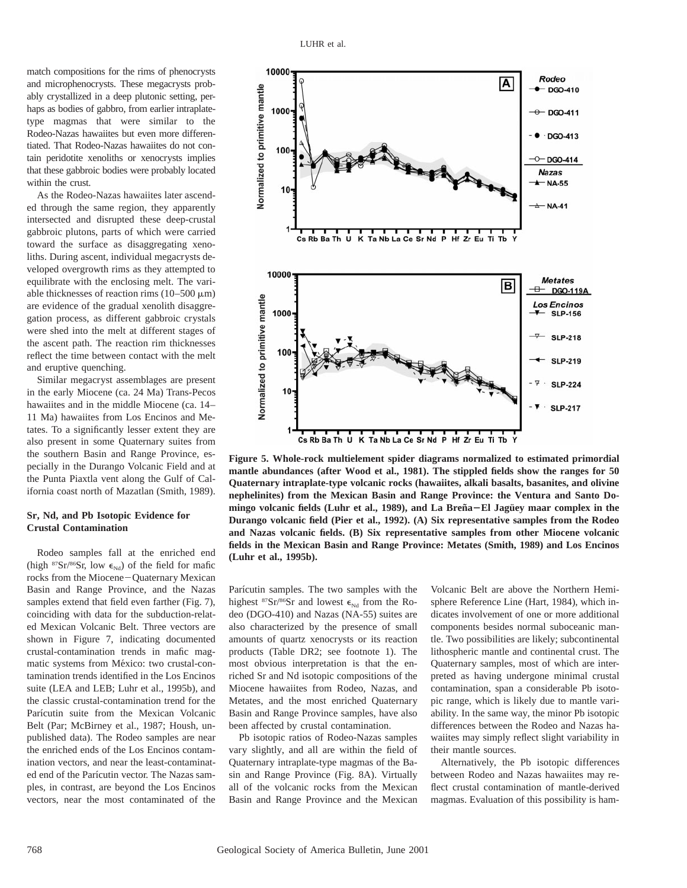match compositions for the rims of phenocrysts and microphenocrysts. These megacrysts probably crystallized in a deep plutonic setting, perhaps as bodies of gabbro, from earlier intraplatetype magmas that were similar to the Rodeo-Nazas hawaiites but even more differentiated. That Rodeo-Nazas hawaiites do not contain peridotite xenoliths or xenocrysts implies that these gabbroic bodies were probably located within the crust.

As the Rodeo-Nazas hawaiites later ascended through the same region, they apparently intersected and disrupted these deep-crustal gabbroic plutons, parts of which were carried toward the surface as disaggregating xenoliths. During ascent, individual megacrysts developed overgrowth rims as they attempted to equilibrate with the enclosing melt. The variable thicknesses of reaction rims  $(10-500 \mu m)$ are evidence of the gradual xenolith disaggregation process, as different gabbroic crystals were shed into the melt at different stages of the ascent path. The reaction rim thicknesses reflect the time between contact with the melt and eruptive quenching.

Similar megacryst assemblages are present in the early Miocene (ca. 24 Ma) Trans-Pecos hawaiites and in the middle Miocene (ca. 14– 11 Ma) hawaiites from Los Encinos and Metates. To a significantly lesser extent they are also present in some Quaternary suites from the southern Basin and Range Province, especially in the Durango Volcanic Field and at the Punta Piaxtla vent along the Gulf of California coast north of Mazatlan (Smith, 1989).

# **Sr, Nd, and Pb Isotopic Evidence for Crustal Contamination**

Rodeo samples fall at the enriched end (high  $87Sr/86Sr$ , low  $\epsilon_{Nd}$ ) of the field for mafic rocks from the Miocene-Quaternary Mexican Basin and Range Province, and the Nazas samples extend that field even farther (Fig. 7), coinciding with data for the subduction-related Mexican Volcanic Belt. Three vectors are shown in Figure 7, indicating documented crustal-contamination trends in mafic magmatic systems from México: two crustal-contamination trends identified in the Los Encinos suite (LEA and LEB; Luhr et al., 1995b), and the classic crustal-contamination trend for the Parícutin suite from the Mexican Volcanic Belt (Par; McBirney et al., 1987; Housh, unpublished data). The Rodeo samples are near the enriched ends of the Los Encinos contamination vectors, and near the least-contaminated end of the Parícutin vector. The Nazas samples, in contrast, are beyond the Los Encinos vectors, near the most contaminated of the



**Figure 5. Whole-rock multielement spider diagrams normalized to estimated primordial mantle abundances (after Wood et al., 1981). The stippled fields show the ranges for 50 Quaternary intraplate-type volcanic rocks (hawaiites, alkali basalts, basanites, and olivine nephelinites) from the Mexican Basin and Range Province: the Ventura and Santo Do**mingo volcanic fields (Luhr et al., 1989), and La Breña–El Jagüey maar complex in the **Durango volcanic field (Pier et al., 1992). (A) Six representative samples from the Rodeo and Nazas volcanic fields. (B) Six representative samples from other Miocene volcanic fields in the Mexican Basin and Range Province: Metates (Smith, 1989) and Los Encinos (Luhr et al., 1995b).**

Parícutin samples. The two samples with the highest  $87Sr/86Sr$  and lowest  $\epsilon_{Nd}$  from the Rodeo (DGO-410) and Nazas (NA-55) suites are also characterized by the presence of small amounts of quartz xenocrysts or its reaction products (Table DR2; see footnote 1). The most obvious interpretation is that the enriched Sr and Nd isotopic compositions of the Miocene hawaiites from Rodeo, Nazas, and Metates, and the most enriched Quaternary Basin and Range Province samples, have also been affected by crustal contamination.

Pb isotopic ratios of Rodeo-Nazas samples vary slightly, and all are within the field of Quaternary intraplate-type magmas of the Basin and Range Province (Fig. 8A). Virtually all of the volcanic rocks from the Mexican Basin and Range Province and the Mexican

Volcanic Belt are above the Northern Hemisphere Reference Line (Hart, 1984), which indicates involvement of one or more additional components besides normal suboceanic mantle. Two possibilities are likely; subcontinental lithospheric mantle and continental crust. The Quaternary samples, most of which are interpreted as having undergone minimal crustal contamination, span a considerable Pb isotopic range, which is likely due to mantle variability. In the same way, the minor Pb isotopic differences between the Rodeo and Nazas hawaiites may simply reflect slight variability in their mantle sources.

Alternatively, the Pb isotopic differences between Rodeo and Nazas hawaiites may reflect crustal contamination of mantle-derived magmas. Evaluation of this possibility is ham-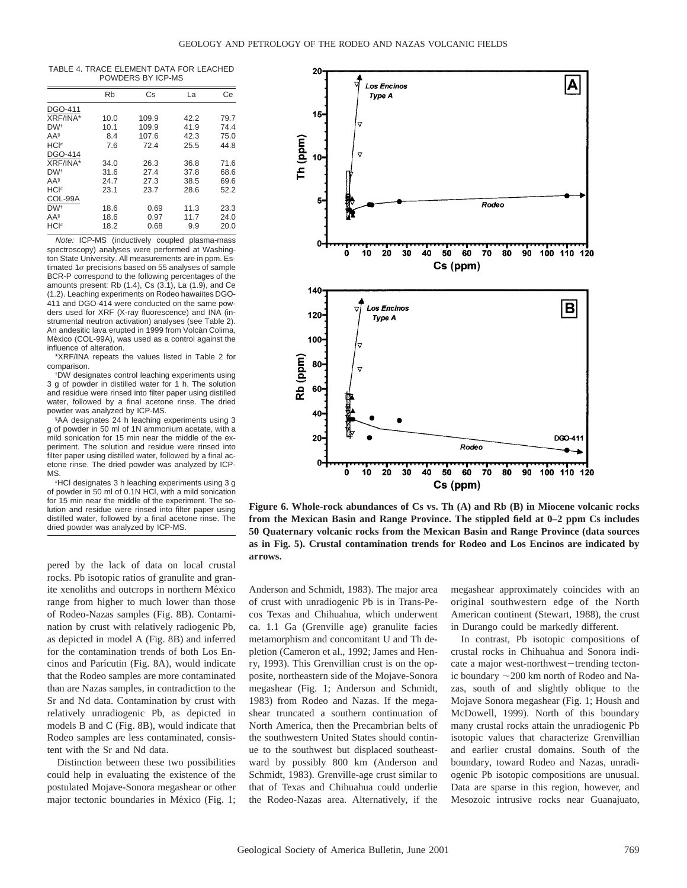TABLE 4. TRACE ELEMENT DATA FOR LEACHED POWDERS BY ICP-MS

|                    | Rb   | Cs    | La   | Сe   |
|--------------------|------|-------|------|------|
| <b>DGO-411</b>     |      |       |      |      |
| XRF/INA*           | 10.0 | 109.9 | 42.2 | 79.7 |
| DW <sup>+</sup>    | 10.1 | 109.9 | 41.9 | 74.4 |
| AAS                | 8.4  | 107.6 | 42.3 | 75.0 |
| $HCI$ <sup>#</sup> | 7.6  | 72.4  | 25.5 | 44.8 |
| <b>DGO-414</b>     |      |       |      |      |
| XRF/INA*           | 34.0 | 26.3  | 36.8 | 71.6 |
| DW <sup>+</sup>    | 31.6 | 27.4  | 37.8 | 68.6 |
| AAS                | 24.7 | 27.3  | 38.5 | 69.6 |
| HCI#               | 23.1 | 23.7  | 28.6 | 52.2 |
| COL-99A            |      |       |      |      |
| DW <sup>+</sup>    | 18.6 | 0.69  | 11.3 | 23.3 |
| AAS                | 18.6 | 0.97  | 11.7 | 24.0 |
| HCI#               | 18.2 | 0.68  | 9.9  | 20.0 |

Note: ICP-MS (inductively coupled plasma-mass spectroscopy) analyses were performed at Washington State University. All measurements are in ppm. Estimated  $1\sigma$  precisions based on 55 analyses of sample BCR-P correspond to the following percentages of the amounts present: Rb (1.4), Cs (3.1), La (1.9), and Ce (1.2). Leaching experiments on Rodeo hawaiites DGO-411 and DGO-414 were conducted on the same powders used for XRF (X-ray fluorescence) and INA (instrumental neutron activation) analyses (see Table 2). An andesitic lava erupted in 1999 from Volcán Colima, México (COL-99A), was used as a control against the influence of alteration.

\*XRF/INA repeats the values listed in Table 2 for comparison.

† DW designates control leaching experiments using 3 g of powder in distilled water for 1 h. The solution and residue were rinsed into filter paper using distilled water, followed by a final acetone rinse. The dried powder was analyzed by ICP-MS.

§ AA designates 24 h leaching experiments using 3 g of powder in 50 ml of 1N ammonium acetate, with a mild sonication for 15 min near the middle of the experiment. The solution and residue were rinsed into filter paper using distilled water, followed by a final acetone rinse. The dried powder was analyzed by ICP-MS.

# HCl designates 3 h leaching experiments using 3 g of powder in 50 ml of 0.1N HCl, with a mild sonication for 15 min near the middle of the experiment. The solution and residue were rinsed into filter paper using distilled water, followed by a final acetone rinse. The dried powder was analyzed by ICP-MS.

**arrows.** pered by the lack of data on local crustal rocks. Pb isotopic ratios of granulite and granite xenoliths and outcrops in northern México range from higher to much lower than those of Rodeo-Nazas samples (Fig. 8B). Contamination by crust with relatively radiogenic Pb, as depicted in model A (Fig. 8B) and inferred for the contamination trends of both Los Encinos and Parı´cutin (Fig. 8A), would indicate that the Rodeo samples are more contaminated than are Nazas samples, in contradiction to the Sr and Nd data. Contamination by crust with relatively unradiogenic Pb, as depicted in models B and C (Fig. 8B), would indicate that Rodeo samples are less contaminated, consistent with the Sr and Nd data.

Distinction between these two possibilities could help in evaluating the existence of the postulated Mojave-Sonora megashear or other major tectonic boundaries in México (Fig. 1;



**Figure 6. Whole-rock abundances of Cs vs. Th (A) and Rb (B) in Miocene volcanic rocks from the Mexican Basin and Range Province. The stippled field at 0–2 ppm Cs includes 50 Quaternary volcanic rocks from the Mexican Basin and Range Province (data sources as in Fig. 5). Crustal contamination trends for Rodeo and Los Encinos are indicated by**

Anderson and Schmidt, 1983). The major area of crust with unradiogenic Pb is in Trans-Pecos Texas and Chihuahua, which underwent ca. 1.1 Ga (Grenville age) granulite facies metamorphism and concomitant U and Th depletion (Cameron et al., 1992; James and Henry, 1993). This Grenvillian crust is on the opposite, northeastern side of the Mojave-Sonora megashear (Fig. 1; Anderson and Schmidt, 1983) from Rodeo and Nazas. If the megashear truncated a southern continuation of North America, then the Precambrian belts of the southwestern United States should continue to the southwest but displaced southeastward by possibly 800 km (Anderson and Schmidt, 1983). Grenville-age crust similar to that of Texas and Chihuahua could underlie the Rodeo-Nazas area. Alternatively, if the

megashear approximately coincides with an original southwestern edge of the North American continent (Stewart, 1988), the crust in Durango could be markedly different.

In contrast, Pb isotopic compositions of crustal rocks in Chihuahua and Sonora indicate a major west-northwest-trending tectonic boundary  $\sim$  200 km north of Rodeo and Nazas, south of and slightly oblique to the Mojave Sonora megashear (Fig. 1; Housh and McDowell, 1999). North of this boundary many crustal rocks attain the unradiogenic Pb isotopic values that characterize Grenvillian and earlier crustal domains. South of the boundary, toward Rodeo and Nazas, unradiogenic Pb isotopic compositions are unusual. Data are sparse in this region, however, and Mesozoic intrusive rocks near Guanajuato,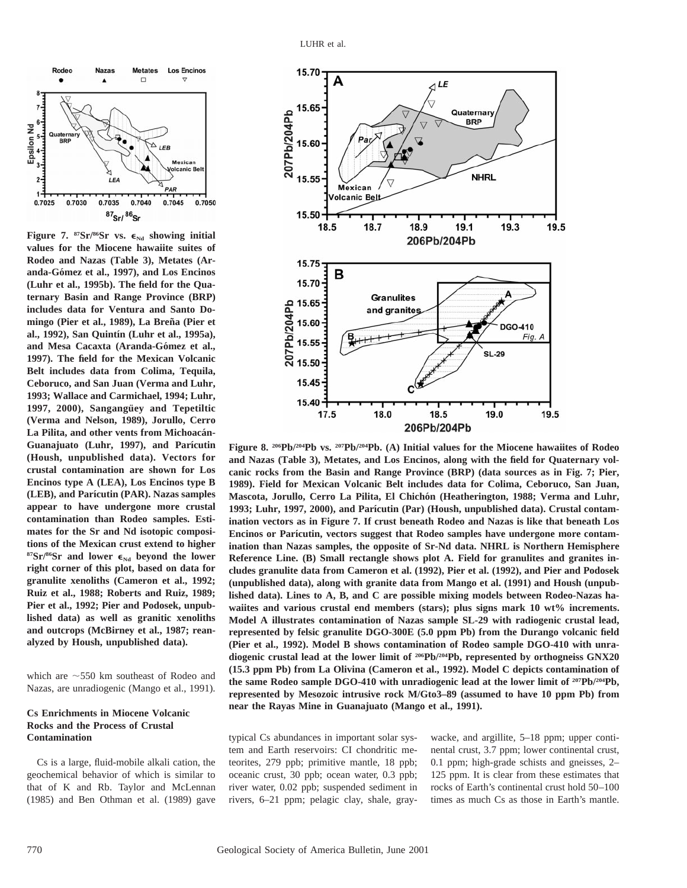

Figure 7.  ${}^{87}Sr/{}^{86}Sr$  vs.  $\epsilon_{Nd}$  showing initial **values for the Miocene hawaiite suites of Rodeo and Nazas (Table 3), Metates (Aranda-Go´mez et al., 1997), and Los Encinos (Luhr et al., 1995b). The field for the Quaternary Basin and Range Province (BRP) includes data for Ventura and Santo Domingo (Pier et al., 1989), La Bren˜a (Pier et al., 1992), San Quintı´n (Luhr et al., 1995a),** and Mesa Cacaxta (Aranda-Gómez et al., **1997). The field for the Mexican Volcanic Belt includes data from Colima, Tequila, Ceboruco, and San Juan (Verma and Luhr, 1993; Wallace and Carmichael, 1994; Luhr,** 1997, 2000), Sangangüey and Tepetiltic **(Verma and Nelson, 1989), Jorullo, Cerro** La Pilita, and other vents from Michoacán-Guanajuato (Luhr, 1997), and Parícutin **(Housh, unpublished data). Vectors for crustal contamination are shown for Los Encinos type A (LEA), Los Encinos type B (LEB), and Parı´cutin (PAR). Nazas samples appear to have undergone more crustal contamination than Rodeo samples. Estimates for the Sr and Nd isotopic compositions of the Mexican crust extend to higher**  $87\,\text{Sr}}/86\,\text{Sr}$  and lower  $\epsilon_{\text{Nd}}$  beyond the lower **right corner of this plot, based on data for granulite xenoliths (Cameron et al., 1992; Ruiz et al., 1988; Roberts and Ruiz, 1989; Pier et al., 1992; Pier and Podosek, unpublished data) as well as granitic xenoliths and outcrops (McBirney et al., 1987; reanalyzed by Housh, unpublished data).**

which are  $\sim$  550 km southeast of Rodeo and Nazas, are unradiogenic (Mango et al., 1991).

## **Cs Enrichments in Miocene Volcanic Rocks and the Process of Crustal Contamination**

Cs is a large, fluid-mobile alkali cation, the geochemical behavior of which is similar to that of K and Rb. Taylor and McLennan (1985) and Ben Othman et al. (1989) gave



**Figure 8. 206Pb/204Pb vs. 207Pb/204Pb. (A) Initial values for the Miocene hawaiites of Rodeo and Nazas (Table 3), Metates, and Los Encinos, along with the field for Quaternary volcanic rocks from the Basin and Range Province (BRP) (data sources as in Fig. 7; Pier, 1989). Field for Mexican Volcanic Belt includes data for Colima, Ceboruco, San Juan,** Mascota, Jorullo, Cerro La Pilita, El Chichón (Heatherington, 1988; Verma and Luhr, **1993; Luhr, 1997, 2000), and Parı´cutin (Par) (Housh, unpublished data). Crustal contamination vectors as in Figure 7. If crust beneath Rodeo and Nazas is like that beneath Los** Encinos or Parícutin, vectors suggest that Rodeo samples have undergone more contam**ination than Nazas samples, the opposite of Sr-Nd data. NHRL is Northern Hemisphere Reference Line. (B) Small rectangle shows plot A. Field for granulites and granites includes granulite data from Cameron et al. (1992), Pier et al. (1992), and Pier and Podosek (unpublished data), along with granite data from Mango et al. (1991) and Housh (unpublished data). Lines to A, B, and C are possible mixing models between Rodeo-Nazas hawaiites and various crustal end members (stars); plus signs mark 10 wt% increments. Model A illustrates contamination of Nazas sample SL-29 with radiogenic crustal lead, represented by felsic granulite DGO-300E (5.0 ppm Pb) from the Durango volcanic field (Pier et al., 1992). Model B shows contamination of Rodeo sample DGO-410 with unradiogenic crustal lead at the lower limit of 206Pb/204Pb, represented by orthogneiss GNX20 (15.3 ppm Pb) from La Olivina (Cameron et al., 1992). Model C depicts contamination of the same Rodeo sample DGO-410 with unradiogenic lead at the lower limit of 207Pb/204Pb, represented by Mesozoic intrusive rock M/Gto3–89 (assumed to have 10 ppm Pb) from near the Rayas Mine in Guanajuato (Mango et al., 1991).**

typical Cs abundances in important solar system and Earth reservoirs: CI chondritic meteorites, 279 ppb; primitive mantle, 18 ppb; oceanic crust, 30 ppb; ocean water, 0.3 ppb; river water, 0.02 ppb; suspended sediment in rivers, 6–21 ppm; pelagic clay, shale, graywacke, and argillite, 5–18 ppm; upper continental crust, 3.7 ppm; lower continental crust, 0.1 ppm; high-grade schists and gneisses, 2– 125 ppm. It is clear from these estimates that rocks of Earth's continental crust hold 50–100 times as much Cs as those in Earth's mantle.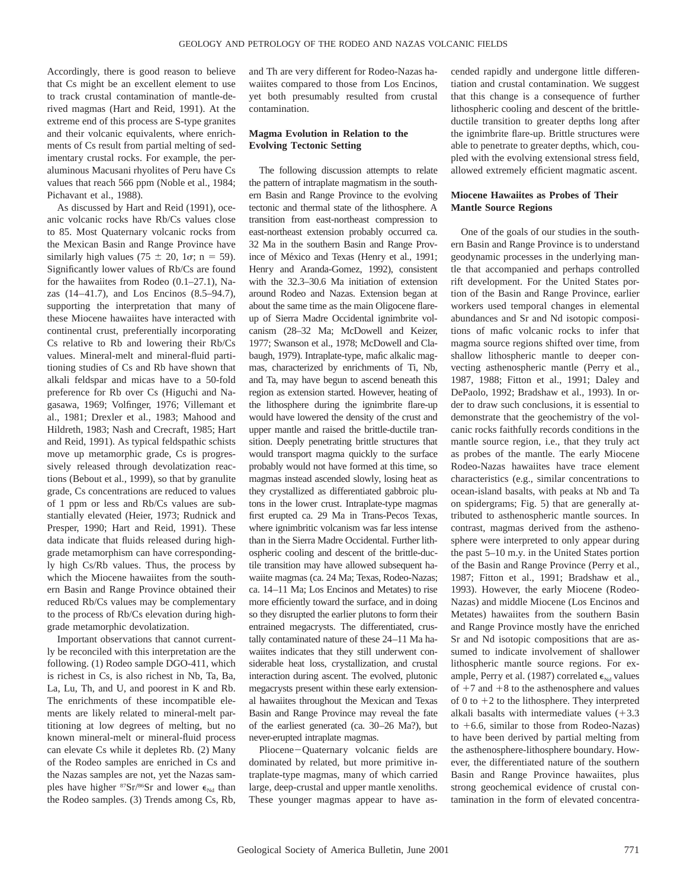Accordingly, there is good reason to believe that Cs might be an excellent element to use to track crustal contamination of mantle-derived magmas (Hart and Reid, 1991). At the extreme end of this process are S-type granites and their volcanic equivalents, where enrichments of Cs result from partial melting of sedimentary crustal rocks. For example, the peraluminous Macusani rhyolites of Peru have Cs values that reach 566 ppm (Noble et al., 1984; Pichavant et al., 1988).

As discussed by Hart and Reid (1991), oceanic volcanic rocks have Rb/Cs values close to 85. Most Quaternary volcanic rocks from the Mexican Basin and Range Province have similarly high values (75  $\pm$  20, 1 $\sigma$ ; n = 59). Significantly lower values of Rb/Cs are found for the hawaiites from Rodeo (0.1–27.1), Nazas (14–41.7), and Los Encinos (8.5–94.7), supporting the interpretation that many of these Miocene hawaiites have interacted with continental crust, preferentially incorporating Cs relative to Rb and lowering their Rb/Cs values. Mineral-melt and mineral-fluid partitioning studies of Cs and Rb have shown that alkali feldspar and micas have to a 50-fold preference for Rb over Cs (Higuchi and Nagasawa, 1969; Volfinger, 1976; Villemant et al., 1981; Drexler et al., 1983; Mahood and Hildreth, 1983; Nash and Crecraft, 1985; Hart and Reid, 1991). As typical feldspathic schists move up metamorphic grade, Cs is progressively released through devolatization reactions (Bebout et al., 1999), so that by granulite grade, Cs concentrations are reduced to values of 1 ppm or less and Rb/Cs values are substantially elevated (Heier, 1973; Rudnick and Presper, 1990; Hart and Reid, 1991). These data indicate that fluids released during highgrade metamorphism can have correspondingly high Cs/Rb values. Thus, the process by which the Miocene hawaiites from the southern Basin and Range Province obtained their reduced Rb/Cs values may be complementary to the process of Rb/Cs elevation during highgrade metamorphic devolatization.

Important observations that cannot currently be reconciled with this interpretation are the following. (1) Rodeo sample DGO-411, which is richest in Cs, is also richest in Nb, Ta, Ba, La, Lu, Th, and U, and poorest in K and Rb. The enrichments of these incompatible elements are likely related to mineral-melt partitioning at low degrees of melting, but no known mineral-melt or mineral-fluid process can elevate Cs while it depletes Rb. (2) Many of the Rodeo samples are enriched in Cs and the Nazas samples are not, yet the Nazas samples have higher  $87Sr/86Sr$  and lower  $\epsilon_{Nd}$  than the Rodeo samples. (3) Trends among Cs, Rb,

and Th are very different for Rodeo-Nazas hawaiites compared to those from Los Encinos, yet both presumably resulted from crustal contamination.

# **Magma Evolution in Relation to the Evolving Tectonic Setting**

The following discussion attempts to relate the pattern of intraplate magmatism in the southern Basin and Range Province to the evolving tectonic and thermal state of the lithosphere. A transition from east-northeast compression to east-northeast extension probably occurred ca. 32 Ma in the southern Basin and Range Province of México and Texas (Henry et al., 1991; Henry and Aranda-Gomez, 1992), consistent with the 32.3–30.6 Ma initiation of extension around Rodeo and Nazas. Extension began at about the same time as the main Oligocene flareup of Sierra Madre Occidental ignimbrite volcanism (28–32 Ma; McDowell and Keizer, 1977; Swanson et al., 1978; McDowell and Clabaugh, 1979). Intraplate-type, mafic alkalic magmas, characterized by enrichments of Ti, Nb, and Ta, may have begun to ascend beneath this region as extension started. However, heating of the lithosphere during the ignimbrite flare-up would have lowered the density of the crust and upper mantle and raised the brittle-ductile transition. Deeply penetrating brittle structures that would transport magma quickly to the surface probably would not have formed at this time, so magmas instead ascended slowly, losing heat as they crystallized as differentiated gabbroic plutons in the lower crust. Intraplate-type magmas first erupted ca. 29 Ma in Trans-Pecos Texas, where ignimbritic volcanism was far less intense than in the Sierra Madre Occidental. Further lithospheric cooling and descent of the brittle-ductile transition may have allowed subsequent hawaiite magmas (ca. 24 Ma; Texas, Rodeo-Nazas; ca. 14–11 Ma; Los Encinos and Metates) to rise more efficiently toward the surface, and in doing so they disrupted the earlier plutons to form their entrained megacrysts. The differentiated, crustally contaminated nature of these 24–11 Ma hawaiites indicates that they still underwent considerable heat loss, crystallization, and crustal interaction during ascent. The evolved, plutonic megacrysts present within these early extensional hawaiites throughout the Mexican and Texas Basin and Range Province may reveal the fate of the earliest generated (ca. 30–26 Ma?), but never-erupted intraplate magmas.

Pliocene-Quaternary volcanic fields are dominated by related, but more primitive intraplate-type magmas, many of which carried large, deep-crustal and upper mantle xenoliths. These younger magmas appear to have ascended rapidly and undergone little differentiation and crustal contamination. We suggest that this change is a consequence of further lithospheric cooling and descent of the brittleductile transition to greater depths long after the ignimbrite flare-up. Brittle structures were able to penetrate to greater depths, which, coupled with the evolving extensional stress field, allowed extremely efficient magmatic ascent.

# **Miocene Hawaiites as Probes of Their Mantle Source Regions**

One of the goals of our studies in the southern Basin and Range Province is to understand geodynamic processes in the underlying mantle that accompanied and perhaps controlled rift development. For the United States portion of the Basin and Range Province, earlier workers used temporal changes in elemental abundances and Sr and Nd isotopic compositions of mafic volcanic rocks to infer that magma source regions shifted over time, from shallow lithospheric mantle to deeper convecting asthenospheric mantle (Perry et al., 1987, 1988; Fitton et al., 1991; Daley and DePaolo, 1992; Bradshaw et al., 1993). In order to draw such conclusions, it is essential to demonstrate that the geochemistry of the volcanic rocks faithfully records conditions in the mantle source region, i.e., that they truly act as probes of the mantle. The early Miocene Rodeo-Nazas hawaiites have trace element characteristics (e.g., similar concentrations to ocean-island basalts, with peaks at Nb and Ta on spidergrams; Fig. 5) that are generally attributed to asthenospheric mantle sources. In contrast, magmas derived from the asthenosphere were interpreted to only appear during the past 5–10 m.y. in the United States portion of the Basin and Range Province (Perry et al., 1987; Fitton et al., 1991; Bradshaw et al., 1993). However, the early Miocene (Rodeo-Nazas) and middle Miocene (Los Encinos and Metates) hawaiites from the southern Basin and Range Province mostly have the enriched Sr and Nd isotopic compositions that are assumed to indicate involvement of shallower lithospheric mantle source regions. For example, Perry et al. (1987) correlated  $\epsilon_{Nd}$  values of  $+7$  and  $+8$  to the asthenosphere and values of 0 to  $+2$  to the lithosphere. They interpreted alkali basalts with intermediate values  $(+3.3)$ to  $+6.6$ , similar to those from Rodeo-Nazas) to have been derived by partial melting from the asthenosphere-lithosphere boundary. However, the differentiated nature of the southern Basin and Range Province hawaiites, plus strong geochemical evidence of crustal contamination in the form of elevated concentra-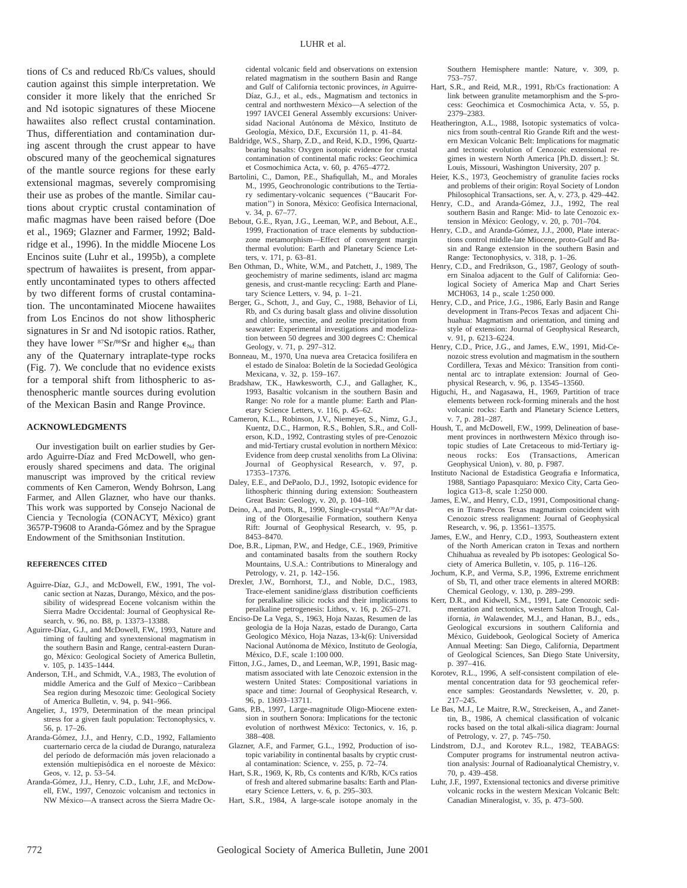tions of Cs and reduced Rb/Cs values, should caution against this simple interpretation. We consider it more likely that the enriched Sr and Nd isotopic signatures of these Miocene hawaiites also reflect crustal contamination. Thus, differentiation and contamination during ascent through the crust appear to have obscured many of the geochemical signatures of the mantle source regions for these early extensional magmas, severely compromising their use as probes of the mantle. Similar cautions about cryptic crustal contamination of mafic magmas have been raised before (Doe et al., 1969; Glazner and Farmer, 1992; Baldridge et al., 1996). In the middle Miocene Los Encinos suite (Luhr et al., 1995b), a complete spectrum of hawaiites is present, from apparently uncontaminated types to others affected by two different forms of crustal contamination. The uncontaminated Miocene hawaiites from Los Encinos do not show lithospheric signatures in Sr and Nd isotopic ratios. Rather, they have lower  ${}^{87}Sr/{}^{86}Sr$  and higher  $\epsilon_{Nd}$  than any of the Quaternary intraplate-type rocks (Fig. 7). We conclude that no evidence exists for a temporal shift from lithospheric to asthenospheric mantle sources during evolution of the Mexican Basin and Range Province.

#### **ACKNOWLEDGMENTS**

Our investigation built on earlier studies by Gerardo Aguirre-Díaz and Fred McDowell, who generously shared specimens and data. The original manuscript was improved by the critical review comments of Ken Cameron, Wendy Bohrson, Lang Farmer, and Allen Glazner, who have our thanks. This work was supported by Consejo Nacional de Ciencia y Tecnología (CONACYT, México) grant 3657P-T9608 to Aranda-Gómez and by the Sprague Endowment of the Smithsonian Institution.

#### **REFERENCES CITED**

- Aguirre-Díaz, G.J., and McDowell, F.W., 1991, The volcanic section at Nazas, Durango, México, and the possibility of widespread Eocene volcanism within the Sierra Madre Occidental: Journal of Geophysical Research, v. 96, no. B8, p. 13373–13388.
- Aguirre-Díaz, G.J., and McDowell, F.W., 1993, Nature and timing of faulting and synextensional magmatism in the southern Basin and Range, central-eastern Durango, México: Geological Society of America Bulletin, v. 105, p. 1435–1444.
- Anderson, T.H., and Schmidt, V.A., 1983, The evolution of middle America and the Gulf of Mexico-Caribbean Sea region during Mesozoic time: Geological Society of America Bulletin, v. 94, p. 941–966.
- Angelier, J., 1979, Determination of the mean principal stress for a given fault population: Tectonophysics, v. 56, p. 17–26.
- Aranda-Gómez, J.J., and Henry, C.D., 1992, Fallamiento cuarternario cerca de la ciudad de Durango, naturaleza del período de deformación más joven relacionado a extensión multiepisódica en el noroeste de México: Geos, v. 12, p. 53–54.
- Aranda-Gómez, J.J., Henry, C.D., Luhr, J.F., and McDowell, F.W., 1997, Cenozoic volcanism and tectonics in NW México-A transect across the Sierra Madre Oc-
- Geología, México, D.F., Excursión 11, p. 41-84. Baldridge, W.S., Sharp, Z.D., and Reid, K.D., 1996, Quartzbearing basalts: Oxygen isotopic evidence for crustal contamination of continental mafic rocks: Geochimica et Cosmochimica Acta, v. 60, p. 4765–4772.
- Bartolini, C., Damon, P.E., Shafiqullah, M., and Morales M., 1995, Geochronologic contributions to the Tertiary sedimentary-volcanic sequences (''Baucarit Formation") in Sonora, México: Geofísica Internacional, v. 34, p. 67–77.
- Bebout, G.E., Ryan, J.G., Leeman, W.P., and Bebout, A.E., 1999, Fractionation of trace elements by subductionzone metamorphism—Effect of convergent margin thermal evolution: Earth and Planetary Science Letters, v. 171, p. 63–81.
- Ben Othman, D., White, W.M., and Patchett, J., 1989, The geochemistry of marine sediments, island arc magma genesis, and crust-mantle recycling: Earth and Planetary Science Letters, v. 94, p. 1–21.
- Berger, G., Schott, J., and Guy, C., 1988, Behavior of Li, Rb, and Cs during basalt glass and olivine dissolution and chlorite, smectite, and zeolite precipitation from seawater: Experimental investigations and modelization between 50 degrees and 300 degrees C: Chemical Geology, v. 71, p. 297–312.
- Bonneau, M., 1970, Una nueva area Cretacica fosilifera en el estado de Sinaloa: Boletín de la Sociedad Geológica Mexicana, v. 32, p. 159–167.
- Bradshaw, T.K., Hawkesworth, C.J., and Gallagher, K., 1993, Basaltic volcanism in the southern Basin and Range: No role for a mantle plume: Earth and Planetary Science Letters, v. 116, p. 45–62.
- Cameron, K.L., Robinson, J.V., Niemeyer, S., Nimz, G.J., Kuentz, D.C., Harmon, R.S., Bohlen, S.R., and Collerson, K.D., 1992, Contrasting styles of pre-Cenozoic and mid-Tertiary crustal evolution in northern México: Evidence from deep crustal xenoliths from La Olivina: Journal of Geophysical Research, v. 97, p. 17353–17376.
- Daley, E.E., and DePaolo, D.J., 1992, Isotopic evidence for lithospheric thinning during extension: Southeastern Great Basin: Geology, v. 20, p. 104–108.
- Deino, A., and Potts, R., 1990, Single-crystal 40Ar/39Ar dating of the Olorgesailie Formation, southern Kenya Rift: Journal of Geophysical Research, v. 95, p. 8453–8470.
- Doe, B.R., Lipman, P.W., and Hedge, C.E., 1969, Primitive and contaminated basalts from the southern Rocky Mountains, U.S.A.: Contributions to Mineralogy and Petrology, v. 21, p. 142–156.
- Drexler, J.W., Bornhorst, T.J., and Noble, D.C., 1983, Trace-element sanidine/glass distribution coefficients for peralkaline silicic rocks and their implications to peralkaline petrogenesis: Lithos, v. 16, p. 265–271.
- Enciso-De La Vega, S., 1963, Hoja Nazas, Resumen de las geologia de la Hoja Nazas, estado de Durango, Carta Geologico México, Hoja Nazas, 13-k(6): Universidad Nacional Autónoma de México, Instituto de Geología, México, D.F., scale 1:100 000.
- Fitton, J.G., James, D., and Leeman, W.P., 1991, Basic magmatism associated with late Cenozoic extension in the western United States: Compositional variations in space and time: Journal of Geophysical Research, v. 96, p. 13693–13711.
- Gans, P.B., 1997, Large-magnitude Oligo-Miocene extension in southern Sonora: Implications for the tectonic evolution of northwest México: Tectonics, v. 16, p. 388–408.
- Glazner, A.F., and Farmer, G.L., 1992, Production of isotopic variability in continental basalts by cryptic crustal contamination: Science, v. 255, p. 72–74.
- Hart, S.R., 1969, K, Rb, Cs contents and K/Rb, K/Cs ratios of fresh and altered submarine basalts: Earth and Planetary Science Letters, v. 6, p. 295–303.
- Hart, S.R., 1984, A large-scale isotope anomaly in the

Southern Hemisphere mantle: Nature, v. 309, p. 753–757.

- Hart, S.R., and Reid, M.R., 1991, Rb/Cs fractionation: A link between granulite metamorphism and the S-process: Geochimica et Cosmochimica Acta, v. 55, p. 2379–2383.
- Heatherington, A.L., 1988, Isotopic systematics of volcanics from south-central Rio Grande Rift and the western Mexican Volcanic Belt: Implications for magmatic and tectonic evolution of Cenozoic extensional regimes in western North America [Ph.D. dissert.]: St. Louis, Missouri, Washington University, 207 p.
- Heier, K.S., 1973, Geochemistry of granulite facies rocks and problems of their origin: Royal Society of London Philosophical Transactions, ser. A, v. 273, p. 429–442.
- Henry, C.D., and Aranda-Gómez, J.J., 1992, The real southern Basin and Range: Mid- to late Cenozoic extension in México: Geology, v. 20, p. 701-704.
- Henry, C.D., and Aranda-Gómez, J.J., 2000, Plate interactions control middle-late Miocene, proto-Gulf and Basin and Range extension in the southern Basin and Range: Tectonophysics, v. 318, p. 1–26.
- Henry, C.D., and Fredrikson, G., 1987, Geology of southern Sinaloa adjacent to the Gulf of California: Geological Society of America Map and Chart Series MCH063, 14 p., scale 1:250 000.
- Henry, C.D., and Price, J.G., 1986, Early Basin and Range development in Trans-Pecos Texas and adjacent Chihuahua: Magmatism and orientation, and timing and style of extension: Journal of Geophysical Research, v. 91, p. 6213–6224.
- Henry, C.D., Price, J.G., and James, E.W., 1991, Mid-Cenozoic stress evolution and magmatism in the southern Cordillera, Texas and México: Transition from continental arc to intraplate extension: Journal of Geophysical Research, v. 96, p. 13545–13560.
- Higuchi, H., and Nagasawa, H., 1969, Partition of trace elements between rock-forming minerals and the host volcanic rocks: Earth and Planetary Science Letters, v. 7, p. 281–287.
- Housh, T., and McDowell, F.W., 1999, Delineation of basement provinces in northwestern México through isotopic studies of Late Cretaceous to mid-Tertiary igneous rocks: Eos (Transactions, American Geophysical Union), v. 80, p. F987.
- Instituto Nacional de Estadistica Geografia e Informatica, 1988, Santiago Papasquiaro: Mexico City, Carta Geologica G13–8, scale 1:250 000.
- James, E.W., and Henry, C.D., 1991, Compositional changes in Trans-Pecos Texas magmatism coincident with Cenozoic stress realignment: Journal of Geophysical Research, v. 96, p. 13561–13575.
- James, E.W., and Henry, C.D., 1993, Southeastern extent of the North American craton in Texas and northern Chihuahua as revealed by Pb isotopes: Geological Society of America Bulletin, v. 105, p. 116–126.
- Jochum, K.P., and Verma, S.P., 1996, Extreme enrichment of Sb, Tl, and other trace elements in altered MORB: Chemical Geology, v. 130, p. 289–299.
- Kerr, D.R., and Kidwell, S.M., 1991, Late Cenozoic sedimentation and tectonics, western Salton Trough, California, *in* Walawender, M.J., and Hanan, B.J., eds., Geological excursions in southern California and México, Guidebook, Geological Society of America Annual Meeting: San Diego, California, Department of Geological Sciences, San Diego State University, p. 397–416.
- Korotev, R.L., 1996, A self-consistent compilation of elemental concentration data for 93 geochemical reference samples: Geostandards Newsletter, v. 20, p. 217–245.
- Le Bas, M.J., Le Maitre, R.W., Streckeisen, A., and Zanettin, B., 1986, A chemical classification of volcanic rocks based on the total alkali-silica diagram: Journal of Petrology, v. 27, p. 745–750.
- Lindstrom, D.J., and Korotev R.L., 1982, TEABAGS: Computer programs for instrumental neutron activation analysis: Journal of Radioanalytical Chemistry, v. 70, p. 439–458.
- Luhr, J.F., 1997, Extensional tectonics and diverse primitive volcanic rocks in the western Mexican Volcanic Belt: Canadian Mineralogist, v. 35, p. 473–500.